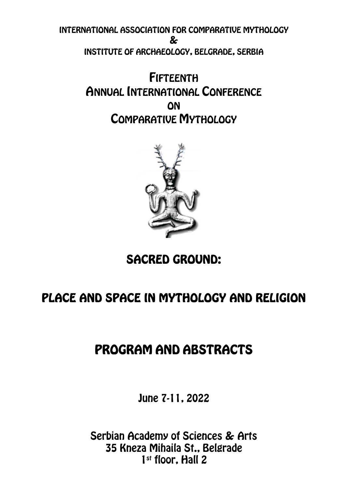INTERNATIONAL ASSOCIATION FOR COMPARATIVE MYTHOLOGY & INSTITUTE OF ARCHAEOLOGY, BELGRADE, SERBIA

> FIFTEENTH ANNUAL INTERNATIONAL CONFERENCE **ON** COMPARATIVE MYTHOLOGY



# SACRED GROUND:

# PLACE AND SPACE IN MYTHOLOGY AND RELIGION

# PROGRAM AND ABSTRACTS

June 7-11, 2022

Serbian Academy of Sciences & Arts 35 Kneza Mihaila St., Belgrade 1<sup>st</sup> floor, Hall 2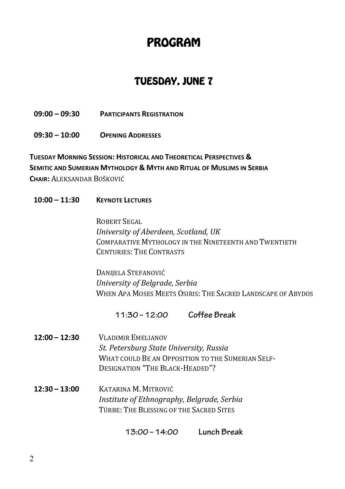# PROGRAM

## TUESDAY, JUNE 7

**09:00 – 09:30 PARTICIPANTS REGISTRATION**

**09:30 – 10:00 OPENING ADDRESSES** 

**TUESDAY MORNING SESSION: HISTORICAL AND THEORETICAL PERSPECTIVES & SEMITIC AND SUMERIAN MYTHOLOGY & MYTH AND RITUAL OF MUSLIMS IN SERBIA CHAIR:** ALEKSANDAR BOŠKOVIĆ

**10:00 – 11:30 KEYNOTE LECTURES** 

ROBERT SEGAL *University of Aberdeen, Scotland, UK* COMPARATIVE MYTHOLOGY IN THE NINETEENTH AND TWENTIETH CENTURIES: THE CONTRASTS

DANIJELA STEFANOVIĆ *University of Belgrade, Serbia* WHEN APA MOSES MEETS OSIRIS: THE SACRED LANDSCAPE OF ABYDOS

**11:30–12:00 Coffee Break**

- **12:00 – 12:30** VLADIMIR EMELIANOV *St. Petersburg State University, Russia* WHAT COULD BE AN OPPOSITION TO THE SUMERIAN SELF-DESIGNATION "THE BLACK-HEADED"?
- **12:30 – 13:00** KATARINA M. MITROVIĆ *Institute of Ethnography, Belgrade, Serbia* TÜRBE: THE BLESSING OF THE SACRED SITES

 **13:00–14:00 Lunch Break**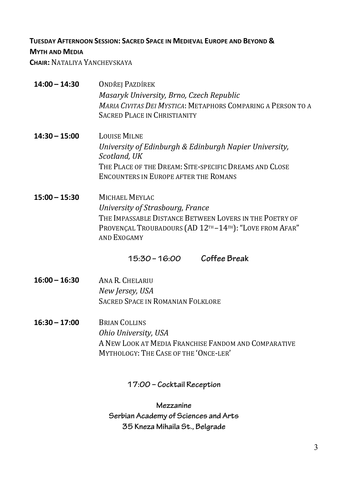### **TUESDAY AFTERNOON SESSION: SACRED SPACE IN MEDIEVAL EUROPE AND BEYOND &**

### **MYTH AND MEDIA**

**CHAIR:** NATALIYA YANCHEVSKAYA

| $14:00 - 14:30$            | <b>ONDŘEJ PAZDÍREK</b><br>Masaryk University, Brno, Czech Republic<br>MARIA CIVITAS DEI MYSTICA: METAPHORS COMPARING A PERSON TO A<br><b>SACRED PLACE IN CHRISTIANITY</b>                               |  |
|----------------------------|---------------------------------------------------------------------------------------------------------------------------------------------------------------------------------------------------------|--|
| $14:30 - 15:00$            | <b>LOUISE MILNE</b><br>University of Edinburgh & Edinburgh Napier University,<br>Scotland, UK<br>THE PLACE OF THE DREAM: SITE-SPECIFIC DREAMS AND CLOSE<br><b>ENCOUNTERS IN EUROPE AFTER THE ROMANS</b> |  |
| $15:00 - 15:30$            | MICHAEL MEYLAC<br>University of Strasbourg, France<br>THE IMPASSABLE DISTANCE BETWEEN LOVERS IN THE POETRY OF<br>PROVENÇAL TROUBADOURS (AD 12TH-14TH): "LOVE FROM AFAR"<br>AND EXOGAMY                  |  |
|                            | Coffee Break<br>$15:30 - 16:00$                                                                                                                                                                         |  |
| $16:00 - 16:30$            | ANA R. CHELARIU<br>New Jersey, USA<br><b>SACRED SPACE IN ROMANIAN FOLKLORE</b>                                                                                                                          |  |
| $16:30 - 17:00$            | <b>BRIAN COLLINS</b><br>Ohio University, USA<br>A NEW LOOK AT MEDIA FRANCHISE FANDOM AND COMPARATIVE<br>MYTHOLOGY: THE CASE OF THE 'ONCE-LER'                                                           |  |
| 17:00 - Cocktail Reception |                                                                                                                                                                                                         |  |

**Mezzanine Serbian Academy of Sciences and Arts 35 Kneza Mihaila St., Belgrade**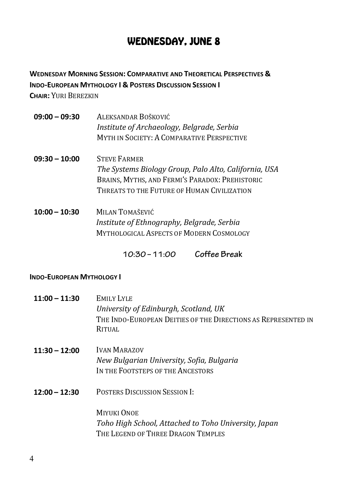## WEDNESDAY, JUNE 8

**WEDNESDAY MORNING SESSION: COMPARATIVE AND THEORETICAL PERSPECTIVES & INDO-EUROPEAN MYTHOLOGY I & POSTERS DISCUSSION SESSION I CHAIR:** YURI BEREZKIN

- **09:00 – 09:30** ALEKSANDAR BOŠKOVIĆ *Institute of Archaeology, Belgrade, Serbia* MYTH IN SOCIETY: A COMPARATIVE PERSPECTIVE
- **09:30 – 10:00** STEVE FARMER The Systems Biology Group, Palo Alto, California, USA BRAINS, MYTHS, AND FERMI'S PARADOX: PREHISTORIC THREATS TO THE FUTURE OF HUMAN CIVILIZATION
- **10:00 – 10:30** MILAN TOMAŠEVIĆ *Institute of Ethnography, Belgrade, Serbia* **MYTHOLOGICAL ASPECTS OF MODERN COSMOLOGY**

 **10:30–11:00 Coffee Break**

### **INDO-EUROPEAN MYTHOLOGY I**

| $11:00 - 11:30$ | EMILY LYLE<br>University of Edinburgh, Scotland, UK<br>THE INDO-EUROPEAN DEITIES OF THE DIRECTIONS AS REPRESENTED IN<br>RITUAL |
|-----------------|--------------------------------------------------------------------------------------------------------------------------------|
| $11:30 - 12:00$ | <b>IVAN MARAZOV</b><br>New Bulgarian University, Sofia, Bulgaria<br>IN THE FOOTSTEPS OF THE ANCESTORS                          |
| $12:00 - 12:30$ | <b>POSTERS DISCUSSION SESSION I:</b>                                                                                           |
|                 | <b>MIYUKI ONOE</b><br>Toho High School, Attached to Toho University, Japan<br>THE LEGEND OF THREE DRAGON TEMPLES               |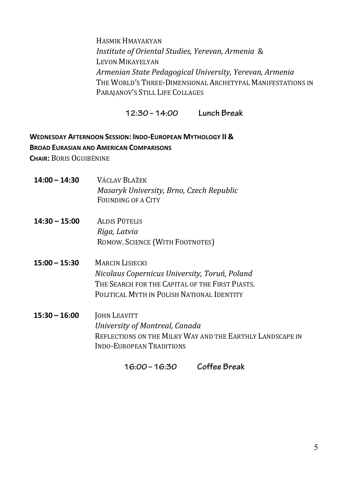HASMIK HMAYAKYAN *Institute of Oriental Studies, Yerevan, Armenia* & LEVON MIKAYELYAN *Armenian State Pedagogical University, Yerevan, Armenia* THE WORLD'S THREE-DIMENSIONAL ARCHETYPAL MANIFESTATIONS IN PARAJANOV'S STILL LIFE COLLAGES

 **12:30–14:00 Lunch Break**

## **WEDNESDAY AFTERNOON SESSION: INDO-EUROPEAN MYTHOLOGY II & BROAD EURASIAN AND AMERICAN COMPARISONS**

**CHAIR: BORIS OGUIBÉNINE** 

- **14:00 – 14:30** VÁCLAV BLAŽEK *Masaryk University, Brno, Czech Republic* FOUNDING OF A CITY
- **14:30 – 15:00** ALDIS PŪTELIS *Riga, Latvia* ROMOW. SCIENCE (WITH FOOTNOTES)
- **15:00 – 15:30** MARCIN LISIECKI *Nicolaus Copernicus University, Toruń, Poland* THE SEARCH FOR THE CAPITAL OF THE FIRST PIASTS. POLITICAL MYTH IN POLISH NATIONAL IDENTITY
- **15:30 – 16:00** JOHN LEAVITT *University of Montreal, Canada* REFLECTIONS ON THE MILKY WAY AND THE EARTHLY LANDSCAPE IN INDO-EUROPEAN TRADITIONS

 **16:00–16:30 Coffee Break**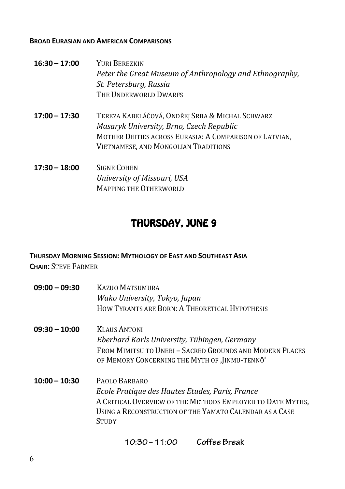#### **BROAD EURASIAN AND AMERICAN COMPARISONS**

- **16:30 – 17:00** YURI BEREZKIN *Peter the Great Museum of Anthropology and Ethnography, St. Petersburg, Russia* THE **UNDERWORLD** DWARES
- **17:00 – 17:30** TEREZA KABELÁČOVÁ, ONDŘEJ SRBA & MICHAL SCHWARZ *Masaryk University, Brno, Czech Republic* MOTHER DEITIES ACROSS EURASIA: A COMPARISON OF LATVIAN. VIETNAMESE, AND MONGOLIAN TRADITIONS
- **17:30 – 18:00** SIGNE COHEN *University of Missouri, USA* MAPPING THE OTHERWORLD

## THURSDAY, JUNE 9

### **THURSDAY MORNING SESSION: MYTHOLOGY OF EAST AND SOUTHEAST ASIA**

**CHAIR: STEVE FARMER** 

- **09:00 – 09:30** KAZUO MATSUMURA *Wako University, Tokyo, Japan* HOW TYRANTS ARE BORN: A THEORETICAL HYPOTHESIS
- **09:30 – 10:00** KLAUS ANTONI *Eberhard Karls University, Tübingen, Germany* FROM MIMITSU TO UNEBI - SACRED GROUNDS AND MODERN PLACES OF MEMORY CONCERNING THE MYTH OF , JINMU-TENNO'
- **10:00 – 10:30** PAOLO BARBARO *Ecole Pratique des Hautes Etudes, Paris, France* A CRITICAL OVERVIEW OF THE METHODS EMPLOYED TO DATE MYTHS. USING A RECONSTRUCTION OF THE YAMATO CALENDAR AS A CASE **STUDY**

 **10:30–11:00 Coffee Break**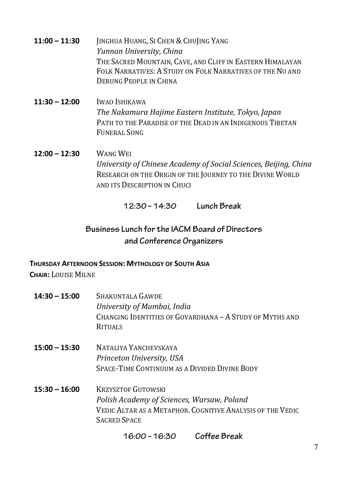- **11:00 11:30 IINGHUA HUANG, SI CHEN & CHUJING YANG** *Yunnan University, China* THE SACRED MOUNTAIN, CAVE, AND CLIFF IN EASTERN HIMALAYAN FOLK NARRATIVES: A STUDY ON FOLK NARRATIVES OF THE NILAND DERUNG PEOPLE IN CHINA
- **11:30 – 12:00** IWAO ISHIKAWA *The Nakamura Hajime Eastern Institute, Tokyo, Japan* PATH TO THE PARADISE OF THE DEAD IN AN INDIGENOUS TIBETAN FUNERAL SONG
- **12:00 – 12:30** WANG WEI *University of Chinese Academy of Social Sciences, Beijing, China* RESEARCH ON THE ORIGIN OF THE JOURNEY TO THE DIVINE WORLD AND ITS DESCRIPTION IN CHUCI

 **12:30–14:30 Lunch Break**

## **Business Lunch for the IACM Board of Directors and Conference Organizers**

### **THURSDAY AFTERNOON SESSION: MYTHOLOGY OF SOUTH ASIA**

**CHAIR:** LOUISE MILNE

**14:30 – 15:00** SHAKUNTALA GAWDE *University of Mumbai, India* CHANGING IDENTITIES OF GOVARDHANA - A STUDY OF MYTHS AND **RITUALS 15:00 – 15:30** NATALIYA YANCHEVSKAYA *Princeton University, USA* SPACE-TIME CONTINUUM AS A DIVIDED DIVINE BODY **15:30 – 16:00** KRZYSZTOF GUTOWSKI *Polish Academy of Sciences, Warsaw, Poland* VEDIC ALTAR AS A METAPHOR. COGNITIVE ANALYSIS OF THE VEDIC SACRED SPACE

 **16:00–16:30 Coffee Break**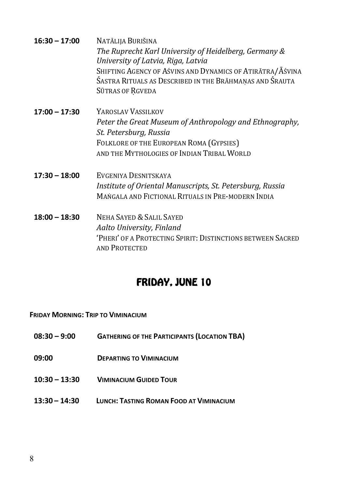| $16:30 - 17:00$ | Natālija Burišina<br>The Ruprecht Karl University of Heidelberg, Germany &<br>University of Latvia, Riga, Latvia<br>SHIFTING AGENCY OF AŚVINS AND DYNAMICS OF ATIRĀTRA/AŚVINA<br>ŚASTRA RITUALS AS DESCRIBED IN THE BRĀHMAŅAS AND SRAUTA<br>SŪTRAS OF RGVEDA |
|-----------------|--------------------------------------------------------------------------------------------------------------------------------------------------------------------------------------------------------------------------------------------------------------|
| $17:00 - 17:30$ | <b>YAROSLAV VASSILKOV</b><br>Peter the Great Museum of Anthropology and Ethnography,<br>St. Petersburg, Russia<br>FOLKLORE OF THE EUROPEAN ROMA (GYPSIES)<br>AND THE MYTHOLOGIES OF INDIAN TRIBAL WORLD                                                      |
| $17:30 - 18:00$ | EVGENIYA DESNITSKAYA<br>Institute of Oriental Manuscripts, St. Petersburg, Russia<br>MANGALA AND FICTIONAL RITUALS IN PRE-MODERN INDIA                                                                                                                       |
| $18:00 - 18:30$ | NEHA SAYED & SALIL SAYED<br>Aalto University, Finland<br>'PHERI' OF A PROTECTING SPIRIT: DISTINCTIONS BETWEEN SACRED<br><b>AND PROTECTED</b>                                                                                                                 |

## FRIDAY, JUNE 10

**FRIDAY MORNING: TRIP TO VIMINACIUM**

- **08:30 – 9:00 GATHERING OF THE PARTICIPANTS (LOCATION TBA)**
- **09:00 DEPARTING TO VIMINACIUM**
- **10:30 – 13:30 VIMINACIUM GUIDED TOUR**
- **13:30 – 14:30 LUNCH: TASTING ROMAN FOOD AT VIMINACIUM**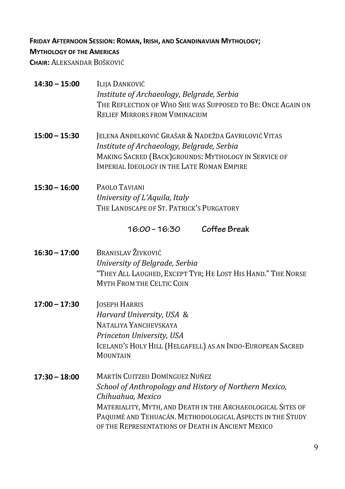### **FRIDAY AFTERNOON SESSION: ROMAN, IRISH, AND SCANDINAVIAN MYTHOLOGY;**

### **MYTHOLOGY OF THE AMERICAS**

**CHAIR: ALEKSANDAR BOŠKOVIĆ** 

| $14:30 - 15:00$ | Ilija Danković<br>Institute of Archaeology, Belgrade, Serbia<br>THE REFLECTION OF WHO SHE WAS SUPPOSED TO BE: ONCE AGAIN ON<br><b>RELIEF MIRRORS FROM VIMINACIUM</b>                                            |
|-----------------|-----------------------------------------------------------------------------------------------------------------------------------------------------------------------------------------------------------------|
| $15:00 - 15:30$ | JELENA ANĐELKOVIĆ GRAŠAR & NADEŽDA GAVRILOVIĆ VITAS<br>Institute of Archaeology, Belgrade, Serbia<br>MAKING SACRED (BACK) GROUNDS: MYTHOLOGY IN SERVICE OF<br><b>IMPERIAL IDEOLOGY IN THE LATE ROMAN EMPIRE</b> |
| $15:30 - 16:00$ | PAOLO TAVIANI<br>University of L'Aquila, Italy<br>THE LANDSCAPE OF ST. PATRICK'S PURGATORY                                                                                                                      |
|                 | Coffee Break<br>16:00 - 16:30                                                                                                                                                                                   |
| $16:30 - 17:00$ | <b>BRANISLAV ŽIVKOVIĆ</b><br>University of Belgrade, Serbia<br>"THEY ALL LAUGHED, EXCEPT TYR; HE LOST HIS HAND." THE NORSE<br><b>MYTH FROM THE CELTIC COIN</b>                                                  |
| $17:00 - 17:30$ | JOSEPH HARRIS<br>$H_{\alpha\beta\gamma\alpha\gamma\alpha}$ $H_{\alpha\gamma\gamma\alpha\gamma\gamma}$ $HCA$ 0                                                                                                   |

*Harvard University, USA &* NATALIYA YANCHEVSKAYA *Princeton University, USA* ICELAND'S HOLY HILL (HELGAFELL) AS AN INDO-EUROPEAN SACRED **MOUNTAIN** 

**17:30 – 18:00** MARTÍN CUITZEO DOMÍNGUEZ NUÑEZ School of Anthropology and History of Northern Mexico, *Chihuahua, Mexico* MATERIALITY, MYTH, AND DEATH IN THE ARCHAEOLOGICAL SITES OF PAQUIMÉ AND TEHUACÁN. METHODOLOGICAL ASPECTS IN THE STUDY OF THE REPRESENTATIONS OF DEATH IN ANCIENT MEXICO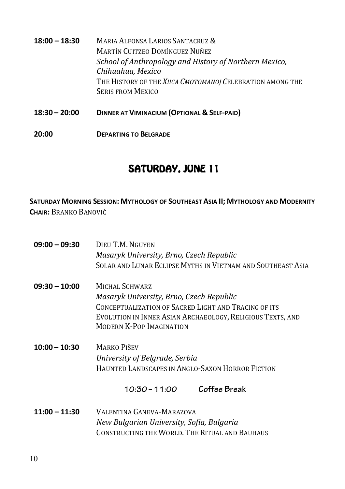| $18:00 - 18:30$ | MARIA ALFONSA LARIOS SANTACRUZ &<br><b>MARTÍN CUITZEO DOMÍNGUEZ NUÑEZ</b><br>School of Anthropology and History of Northern Mexico,<br>Chihuahua, Mexico |
|-----------------|----------------------------------------------------------------------------------------------------------------------------------------------------------|
|                 | THE HISTORY OF THE XIICA CMOTOMANOJ CELEBRATION AMONG THE<br><b>SERIS FROM MEXICO</b>                                                                    |
| $18:30 - 20:00$ | DINNER AT VIMINACIUM (OPTIONAL & SELF-PAID)                                                                                                              |

**20:00 DEPARTING TO BELGRADE**

## SATURDAY, JUNE 11

**SATURDAY MORNING SESSION: MYTHOLOGY OF SOUTHEAST ASIA II; MYTHOLOGY AND MODERNITY CHAIR:** BRANKO BANOVIĆ

| $09:00 - 09:30$ | DIEU T.M. NGUYEN<br>Masaryk University, Brno, Czech Republic<br>SOLAR AND LUNAR ECLIPSE MYTHS IN VIETNAM AND SOUTHEAST ASIA                                                                                         |
|-----------------|---------------------------------------------------------------------------------------------------------------------------------------------------------------------------------------------------------------------|
| $09:30 - 10:00$ | MICHAL SCHWARZ<br>Masaryk University, Brno, Czech Republic<br>CONCEPTUALIZATION OF SACRED LIGHT AND TRACING OF ITS<br>EVOLUTION IN INNER ASIAN ARCHAEOLOGY, RELIGIOUS TEXTS, AND<br><b>MODERN K-POP IMAGINATION</b> |
| $10:00 - 10:30$ | MARKO PIŠEV<br>University of Belgrade, Serbia<br>HAUNTED LANDSCAPES IN ANGLO-SAXON HORROR FICTION                                                                                                                   |
|                 | Coffee Break<br>10:30 – 11:00                                                                                                                                                                                       |
| $11:00 - 11:30$ | VALENTINA GANEVA-MARAZOVA<br>New Bulgarian University, Sofia, Bulgaria<br>CONSTRUCTING THE WORLD. THE RITUAL AND BAUHAUS                                                                                            |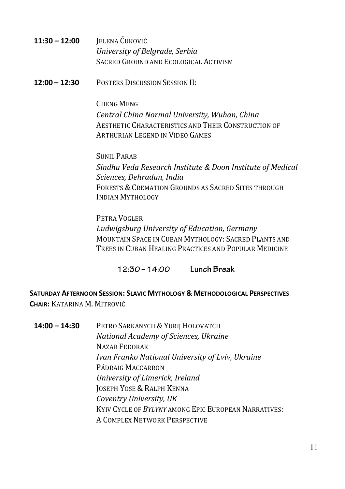- **11:30 – 12:00** JELENA ĆUKOVIĆ *University of Belgrade, Serbia* SACRED GROUND AND ECOLOGICAL ACTIVISM
- **12:00 – 12:30** POSTERS DISCUSSION SESSION II:

CHENG MENG *Central China Normal University, Wuhan, China* AESTHETIC CHARACTERISTICS AND THEIR CONSTRUCTION OF ARTHURIAN LEGEND IN VIDEO GAMES

SUNIL PARAB *Sindhu Veda Research Institute & Doon Institute of Medical Sciences, Dehradun, India*  FORESTS & CREMATION GROUNDS AS SACRED SITES THROUGH INDIAN MYTHOLOGY

PETRA VOGLER *Ludwigsburg University of Education, Germany* MOUNTAIN SPACE IN CUBAN MYTHOLOGY: SACRED PLANTS AND TREES IN CUBAN HEALING PRACTICES AND POPULAR MEDICINE

 **12:30–14:00 Lunch Break**

**SATURDAY AFTERNOON SESSION: SLAVIC MYTHOLOGY & METHODOLOGICAL PERSPECTIVES CHAIR:** KATARINA M. MITROVIĆ

14:00 - 14:30 PETRO SARKANYCH & YURII HOLOVATCH *National Academy of Sciences, Ukraine*  NAZAR FEDORAK *Ivan Franko National University of Lviv, Ukraine* PÁDRAIG MACCARRON *University of Limerick, Ireland* **JOSEPH YOSE & RALPH KENNA** *Coventry University, UK* KYIV CYCLE OF BYLYNY AMONG EPIC EUROPEAN NARRATIVES: A COMPLEX NETWORK PERSPECTIVE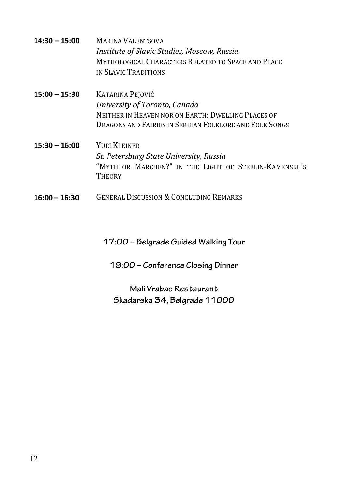- **14:30 – 15:00** MARINA VALENTSOVA *Institute of Slavic Studies, Moscow, Russia* MYTHOLOGICAL CHARACTERS RELATED TO SPACE AND PLACE IN SLAVIC TRADITIONS
- **15:00 – 15:30** KATARINA PEJOVIĆ *University of Toronto, Canada* NEITHER IN HEAVEN NOR ON EARTH: DWELLING PLACES OF DRAGONS AND FAIRIES IN SERBIAN FOLKLORE AND FOLK SONGS
- **15:30 – 16:00** YURI KLEINER *St. Petersburg State University, Russia*  "MYTH OR MÄRCHEN?" IN THE LIGHT OF STEBLIN-KAMENSKIJ'S THEORY
- **16:00 – 16:30** GENERAL DISCUSSION &CONCLUDING REMARKS

**17:00 – Belgrade Guided Walking Tour**

**19:00 – Conference Closing Dinner** 

**Mali Vrabac Restaurant Skadarska 34, Belgrade 11000**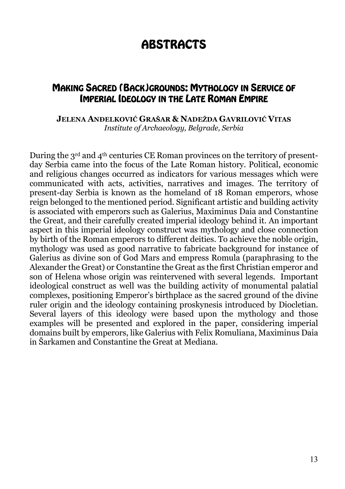# **ABSTRACTS**

### MAKING SACRED (BACK)GROUNDS: MYTHOLOGY IN SERVICE OF IMPERIAL IDEOLOGY IN THE LATE ROMAN EMPIRE

### **JELENA ANĐELKOVIĆ GRAŠAR & NADEŽDA GAVRILOVIĆ VITAS**  *Institute of Archaeology, Belgrade, Serbia*

During the  $3<sup>rd</sup>$  and  $4<sup>th</sup>$  centuries CE Roman provinces on the territory of presentday Serbia came into the focus of the Late Roman history. Political, economic and religious changes occurred as indicators for various messages which were communicated with acts, activities, narratives and images. The territory of present-day Serbia is known as the homeland of 18 Roman emperors, whose reign belonged to the mentioned period. Significant artistic and building activity is associated with emperors such as Galerius, Maximinus Daia and Constantine the Great, and their carefully created imperial ideology behind it. An important aspect in this imperial ideology construct was mythology and close connection by birth of the Roman emperors to different deities. To achieve the noble origin, mythology was used as good narrative to fabricate background for instance of Galerius as divine son of God Mars and empress Romula (paraphrasing to the Alexander the Great) or Constantine the Great as the first Christian emperor and son of Helena whose origin was reintervened with several legends. Important ideological construct as well was the building activity of monumental palatial complexes, positioning Emperor's birthplace as the sacred ground of the divine ruler origin and the ideology containing proskynesis introduced by Diocletian. Several layers of this ideology were based upon the mythology and those examples will be presented and explored in the paper, considering imperial domains built by emperors, like Galerius with Felix Romuliana, Maximinus Daia in Šarkamen and Constantine the Great at Mediana.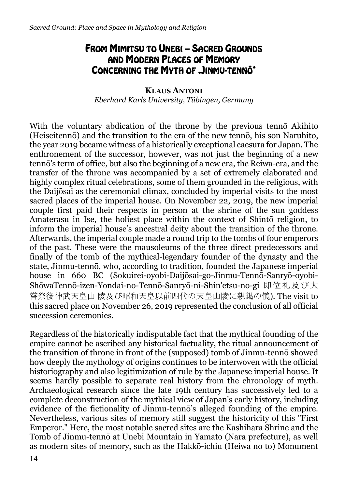## FROM MIMITSU TO UNEBI – SACRED GROUNDS AND MODERN PLACES OF MEMORY CONCERNING THE MYTH OF JINMU-TENNÔ<sup>\*</sup>

**KLAUS ANTONI** *Eberhard Karls University, Tübingen, Germany*

With the voluntary abdication of the throne by the previous tennō Akihito (Heiseitennō) and the transition to the era of the new tennō, his son Naruhito, the year 2019 became witness of a historically exceptional caesura for Japan. The enthronement of the successor, however, was not just the beginning of a new tennō's term of office, but also the beginning of a new era, the Reiwa-era, and the transfer of the throne was accompanied by a set of extremely elaborated and highly complex ritual celebrations, some of them grounded in the religious, with the Daijōsai as the ceremonial climax, concluded by imperial visits to the most sacred places of the imperial house. On November 22, 2019, the new imperial couple first paid their respects in person at the shrine of the sun goddess Amaterasu in Ise, the holiest place within the context of Shintō religion, to inform the imperial house's ancestral deity about the transition of the throne. Afterwards, the imperial couple made a round trip to the tombs of four emperors of the past. These were the mausoleums of the three direct predecessors and finally of the tomb of the mythical-legendary founder of the dynasty and the state, Jinmu-tennō, who, according to tradition, founded the Japanese imperial house in 660 BC (Sokuirei-oyobi-Daijōsai-go-Jinmu-Tennō-Sanryō-oyobi-ShōwaTennō-izen-Yondai-no-Tennō-Sanryō-ni-Shin'etsu-no-gi 即位礼及び大 嘗祭後神武天皇山 陵及び昭和天皇以前四代の天皇山陵に親謁の儀). The visit to this sacred place on November 26, 2019 represented the conclusion of all official succession ceremonies.

Regardless of the historically indisputable fact that the mythical founding of the empire cannot be ascribed any historical factuality, the ritual announcement of the transition of throne in front of the (supposed) tomb of Jinmu-tennō showed how deeply the mythology of origins continues to be interwoven with the official historiography and also legitimization of rule by the Japanese imperial house. It seems hardly possible to separate real history from the chronology of myth. Archaeological research since the late 19th century has successively led to a complete deconstruction of the mythical view of Japan's early history, including evidence of the fictionality of Jinmu-tennō's alleged founding of the empire. Nevertheless, various sites of memory still suggest the historicity of this "First Emperor." Here, the most notable sacred sites are the Kashihara Shrine and the Tomb of Jinmu-tennō at Unebi Mountain in Yamato (Nara prefecture), as well as modern sites of memory, such as the Hakkō-ichiu (Heiwa no to) Monument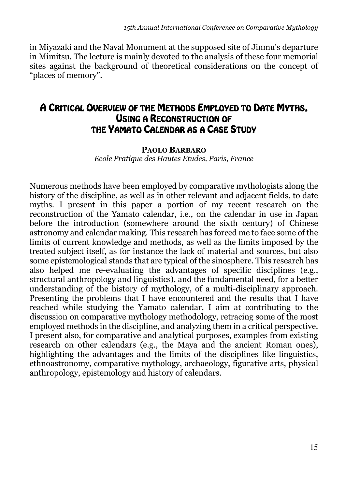in Miyazaki and the Naval Monument at the supposed site of Jinmu's departure in Mimitsu. The lecture is mainly devoted to the analysis of these four memorial sites against the background of theoretical considerations on the concept of "places of memory".

### A CRITICAL OVERVIEW OF THE METHODS EMPLOYED TO DATE MYTHS, USING A RECONSTRUCTION OF THE YAMATO CALENDAR AS A CASE STUDY

## **PAOLO BARBARO**

*Ecole Pratique des Hautes Etudes, Paris, France*

Numerous methods have been employed by comparative mythologists along the history of the discipline, as well as in other relevant and adjacent fields, to date myths. I present in this paper a portion of my recent research on the reconstruction of the Yamato calendar, i.e., on the calendar in use in Japan before the introduction (somewhere around the sixth century) of Chinese astronomy and calendar making. This research has forced me to face some of the limits of current knowledge and methods, as well as the limits imposed by the treated subject itself, as for instance the lack of material and sources, but also some epistemological stands that are typical of the sinosphere. This research has also helped me re-evaluating the advantages of specific disciplines (e.g., structural anthropology and linguistics), and the fundamental need, for a better understanding of the history of mythology, of a multi-disciplinary approach. Presenting the problems that I have encountered and the results that I have reached while studying the Yamato calendar, I aim at contributing to the discussion on comparative mythology methodology, retracing some of the most employed methods in the discipline, and analyzing them in a critical perspective. I present also, for comparative and analytical purposes, examples from existing research on other calendars (e.g., the Maya and the ancient Roman ones), highlighting the advantages and the limits of the disciplines like linguistics, ethnoastronomy, comparative mythology, archaeology, figurative arts, physical anthropology, epistemology and history of calendars.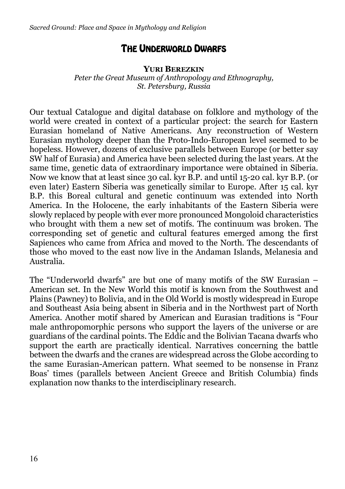## THE UNDERWORLD DWARFS

#### **YURI BEREZKIN**

*Peter the Great Museum of Anthropology and Ethnography, St. Petersburg, Russia*

Our textual Catalogue and digital database on folklore and mythology of the world were created in context of a particular project: the search for Eastern Eurasian homeland of Native Americans. Any reconstruction of Western Eurasian mythology deeper than the Proto-Indo-European level seemed to be hopeless. However, dozens of exclusive parallels between Europe (or better say SW half of Eurasia) and America have been selected during the last years. At the same time, genetic data of extraordinary importance were obtained in Siberia. Now we know that at least since 30 cal. kyr B.P. and until 15-20 cal. kyr B.P. (or even later) Eastern Siberia was genetically similar to Europe. After 15 cal. kyr B.P. this Boreal cultural and genetic continuum was extended into North America. In the Holocene, the early inhabitants of the Eastern Siberia were slowly replaced by people with ever more pronounced Mongoloid characteristics who brought with them a new set of motifs. The continuum was broken. The corresponding set of genetic and cultural features emerged among the first Sapiences who came from Africa and moved to the North. The descendants of those who moved to the east now live in the Andaman Islands, Melanesia and Australia.

The "Underworld dwarfs" are but one of many motifs of the SW Eurasian – American set. In the New World this motif is known from the Southwest and Plains (Pawney) to Bolivia, and in the Old World is mostly widespread in Europe and Southeast Asia being absent in Siberia and in the Northwest part of North America. Another motif shared by American and Eurasian traditions is "Four male anthropomorphic persons who support the layers of the universe or are guardians of the cardinal points. The Eddic and the Bolivian Tacana dwarfs who support the earth are practically identical. Narratives concerning the battle between the dwarfs and the cranes are widespread across the Globe according to the same Eurasian-American pattern. What seemed to be nonsense in Franz Boas' times (parallels between Ancient Greece and British Columbia) finds explanation now thanks to the interdisciplinary research.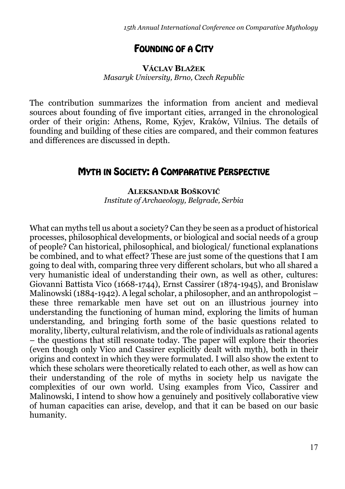## FOUNDING OF A CITY

### **VÁCLAV BLAŽEK** *Masaryk University, Brno, Czech Republic*

The contribution summarizes the information from ancient and medieval sources about founding of five important cities, arranged in the chronological order of their origin: Athens, Rome, Kyjev, Kraków, Vilnius. The details of founding and building of these cities are compared, and their common features and differences are discussed in depth.

## **MYTH IN SOCIETY: A COMPARATIVE PERSPECTIVE**

**ALEKSANDAR BOŠKOVIĆ** *Institute of Archaeology, Belgrade, Serbia* 

What can myths tell us about a society? Can they be seen as a product of historical processes, philosophical developments, or biological and social needs of a group of people? Can historical, philosophical, and biological/ functional explanations be combined, and to what effect? These are just some of the questions that I am going to deal with, comparing three very different scholars, but who all shared a very humanistic ideal of understanding their own, as well as other, cultures: Giovanni Battista Vico (1668-1744), Ernst Cassirer (1874-1945), and Bronislaw Malinowski (1884-1942). A legal scholar, a philosopher, and an anthropologist – these three remarkable men have set out on an illustrious journey into understanding the functioning of human mind, exploring the limits of human understanding, and bringing forth some of the basic questions related to morality, liberty, cultural relativism, and the role of individuals as rational agents – the questions that still resonate today. The paper will explore their theories (even though only Vico and Cassirer explicitly dealt with myth), both in their origins and context in which they were formulated. I will also show the extent to which these scholars were theoretically related to each other, as well as how can their understanding of the role of myths in society help us navigate the complexities of our own world. Using examples from Vico, Cassirer and Malinowski, I intend to show how a genuinely and positively collaborative view of human capacities can arise, develop, and that it can be based on our basic humanity.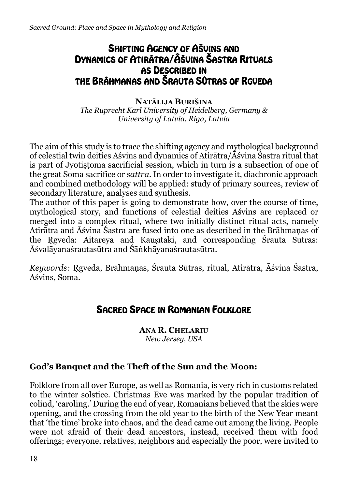## SHIFTING AGENCY OF AŠVINS AND DYNAMICS OF ATIRÂTRA/ÂŠVINA ŠASTRA RITUALS AS DESCRIBED IN THE BRÂHMANAS AND ŠRAUTA SÛTRAS OF RGVEDA

### **NATĀLIJA BURIŠINA**

*The Ruprecht Karl University of Heidelberg, Germany & University of Latvia, Riga, Latvia*

The aim of this study is to trace the shifting agency and mythological background of celestial twin deities Aśvins and dynamics of Atirātra/Āśvina Śastra ritual that is part of Jyotistoma sacrificial session, which in turn is a subsection of one of the great Soma sacrifice or *sattra*. In order to investigate it, diachronic approach and combined methodology will be applied: study of primary sources, review of secondary literature, analyses and synthesis.

The author of this paper is going to demonstrate how, over the course of time, mythological story, and functions of celestial deities Aśvins are replaced or merged into a complex ritual, where two initially distinct ritual acts, namely Atirātra and Āśvina Śastra are fused into one as described in the Brāhmaṇas of the Rgyeda: Aitareya and Kausītaki, and corresponding Śrauta Sūtras: Āśvalāyanaśrautasūtra and Śāṅkhāyanaśrautasūtra.

*Keywords:* Ṛgveda, Brāhmaṇas, Śrauta Sūtras, ritual, Atirātra, Āśvina Śastra, Aśvins, Soma.

## SACRED SPACE IN ROMANIAN FOLKLORE

**ANA R. CHELARIU** *New Jersey, USA*

### **God's Banquet and the Theft of the Sun and the Moon:**

Folklore from all over Europe, as well as Romania, is very rich in customs related to the winter solstice. Christmas Eve was marked by the popular tradition of colind, 'caroling.' During the end of year, Romanians believed that the skies were opening, and the crossing from the old year to the birth of the New Year meant that 'the time' broke into chaos, and the dead came out among the living. People were not afraid of their dead ancestors, instead, received them with food offerings; everyone, relatives, neighbors and especially the poor, were invited to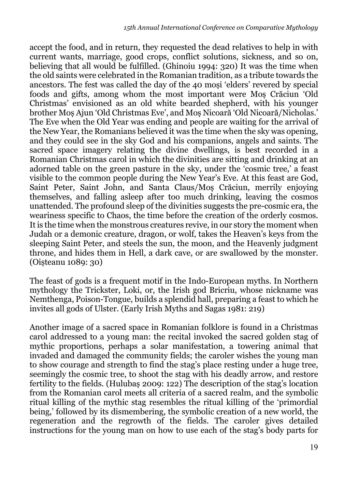accept the food, and in return, they requested the dead relatives to help in with current wants, marriage, good crops, conflict solutions, sickness, and so on, believing that all would be fulfilled. (Ghinoiu 1994: 320) It was the time when the old saints were celebrated in the Romanian tradition, as a tribute towards the ancestors. The fest was called the day of the 40 moși 'elders' revered by special foods and gifts, among whom the most important were Moș Crăciun 'Old Christmas' envisioned as an old white bearded shepherd, with his younger brother Moș Ajun 'Old Christmas Eve', and Moș Nicoară 'Old Nicoară/Nicholas.' The Eve when the Old Year was ending and people are waiting for the arrival of the New Year, the Romanians believed it was the time when the sky was opening, and they could see in the sky God and his companions, angels and saints. The sacred space imagery relating the divine dwellings, is best recorded in a Romanian Christmas carol in which the divinities are sitting and drinking at an adorned table on the green pasture in the sky, under the 'cosmic tree,' a feast visible to the common people during the New Year's Eve. At this feast are God, Saint Peter, Saint John, and Santa Claus/Moș Crăciun, merrily enjoying themselves, and falling asleep after too much drinking, leaving the cosmos unattended. The profound sleep of the divinities suggests the pre-cosmic era, the weariness specific to Chaos, the time before the creation of the orderly cosmos. It is the time when the monstrous creatures revive, in our story the moment when Judah or a demonic creature, dragon, or wolf, takes the Heaven's keys from the sleeping Saint Peter, and steels the sun, the moon, and the Heavenly judgment throne, and hides them in Hell, a dark cave, or are swallowed by the monster. (Oișteanu 1089: 30)

The feast of gods is a frequent motif in the Indo-European myths. In Northern mythology the Trickster, Loki, or, the Irish god Bricriu, whose nickname was Nemthenga, Poison-Tongue, builds a splendid hall, preparing a feast to which he invites all gods of Ulster. (Early Irish Myths and Sagas 1981: 219)

Another image of a sacred space in Romanian folklore is found in a Christmas carol addressed to a young man: the recital invoked the sacred golden stag of mythic proportions, perhaps a solar manifestation, a towering animal that invaded and damaged the community fields; the caroler wishes the young man to show courage and strength to find the stag's place resting under a huge tree, seemingly the cosmic tree, to shoot the stag with his deadly arrow, and restore fertility to the fields. (Hulubaș 2009: 122) The description of the stag's location from the Romanian carol meets all criteria of a sacred realm, and the symbolic ritual killing of the mythic stag resembles the ritual killing of the 'primordial being,' followed by its dismembering, the symbolic creation of a new world, the regeneration and the regrowth of the fields. The caroler gives detailed instructions for the young man on how to use each of the stag's body parts for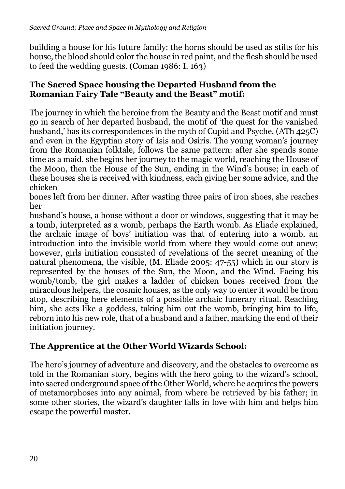building a house for his future family: the horns should be used as stilts for his house, the blood should color the house in red paint, and the flesh should be used to feed the wedding guests. (Coman 1986: I. 163)

### **The Sacred Space housing the Departed Husband from the Romanian Fairy Tale "Beauty and the Beast" motif:**

The journey in which the heroine from the Beauty and the Beast motif and must go in search of her departed husband, the motif of 'the quest for the vanished husband,' has its correspondences in the myth of Cupid and Psyche, (ATh 425C) and even in the Egyptian story of Isis and Osiris. The young woman's journey from the Romanian folktale, follows the same pattern: after she spends some time as a maid, she begins her journey to the magic world, reaching the House of the Moon, then the House of the Sun, ending in the Wind's house; in each of these houses she is received with kindness, each giving her some advice, and the chicken

bones left from her dinner. After wasting three pairs of iron shoes, she reaches her

husband's house, a house without a door or windows, suggesting that it may be a tomb, interpreted as a womb, perhaps the Earth womb. As Eliade explained, the archaic image of boys' initiation was that of entering into a womb, an introduction into the invisible world from where they would come out anew; however, girls initiation consisted of revelations of the secret meaning of the natural phenomena, the visible, (M. Eliade 2005: 47-55) which in our story is represented by the houses of the Sun, the Moon, and the Wind. Facing his womb/tomb, the girl makes a ladder of chicken bones received from the miraculous helpers, the cosmic houses, as the only way to enter it would be from atop, describing here elements of a possible archaic funerary ritual. Reaching him, she acts like a goddess, taking him out the womb, bringing him to life, reborn into his new role, that of a husband and a father, marking the end of their initiation journey.

### **The Apprentice at the Other World Wizards School:**

The hero's journey of adventure and discovery, and the obstacles to overcome as told in the Romanian story, begins with the hero going to the wizard's school, into sacred underground space of the Other World, where he acquires the powers of metamorphoses into any animal, from where he retrieved by his father; in some other stories, the wizard's daughter falls in love with him and helps him escape the powerful master.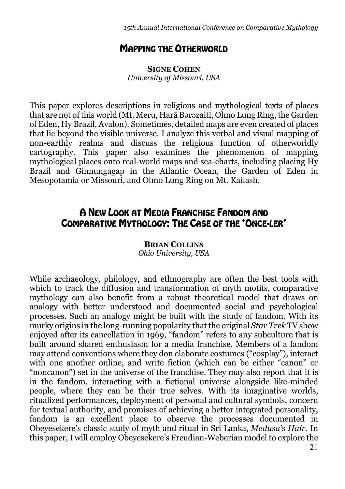### MAPPING THE OTHERWORLD

**SIGNE COHEN** *University of Missouri, USA*

This paper explores descriptions in religious and mythological texts of places that are not of this world (Mt. Meru, Harā Bərəzaitī, Olmo Lung Ring, the Garden of Eden, Hy Brazil, Avalon). Sometimes, detailed maps are even created of places that lie beyond the visible universe. I analyze this verbal and visual mapping of non-earthly realms and discuss the religious function of otherworldly cartography. This paper also examines the phenomenon of mapping mythological places onto real-world maps and sea-charts, including placing Hy Brazil and Ginnungagap in the Atlantic Ocean, the Garden of Eden in Mesopotamia or Missouri, and Olmo Lung Ring on Mt. Kailash.

## A NEW LOOK AT MEDIA FRANCHISE FANDOM AND COMPARATIVE MYTHOLOGY: THE CASE OF THE 'ONCE-LER'

**BRIAN COLLINS** *Ohio University, USA*

While archaeology, philology, and ethnography are often the best tools with which to track the diffusion and transformation of myth motifs, comparative mythology can also benefit from a robust theoretical model that draws on analogy with better understood and documented social and psychological processes. Such an analogy might be built with the study of fandom. With its murky origins in the long-running popularity that the original *Star Trek* TV show enjoyed after its cancellation in 1969, "fandom" refers to any subculture that is built around shared enthusiasm for a media franchise. Members of a fandom may attend conventions where they don elaborate costumes ("cosplay"), interact with one another online, and write fiction (which can be either "canon" or "noncanon") set in the universe of the franchise. They may also report that it is in the fandom, interacting with a fictional universe alongside like-minded people, where they can be their true selves. With its imaginative worlds, ritualized performances, deployment of personal and cultural symbols, concern for textual authority, and promises of achieving a better integrated personality, fandom is an excellent place to observe the processes documented in Obeyesekere's classic study of myth and ritual in Sri Lanka, *Medusa's Hair.* In this paper, I will employ Obeyesekere's Freudian-Weberian model to explore the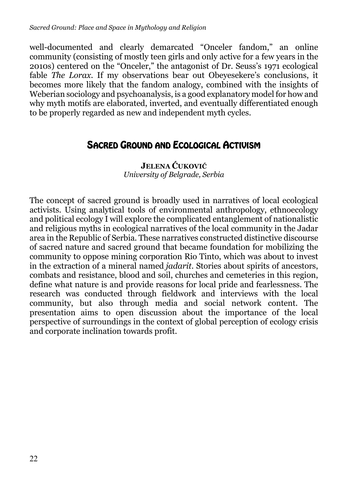well-documented and clearly demarcated "Onceler fandom," an online community (consisting of mostly teen girls and only active for a few years in the 2010s) centered on the "Onceler," the antagonist of Dr. Seuss's 1971 ecological fable *The Lorax*. If my observations bear out Obeyesekere's conclusions, it becomes more likely that the fandom analogy, combined with the insights of Weberian sociology and psychoanalysis, is a good explanatory model for how and why myth motifs are elaborated, inverted, and eventually differentiated enough to be properly regarded as new and independent myth cycles.

## SACRED GROUND AND ECOLOGICAL ACTIVISM

**JELENA ĆUKOVIĆ** *University of Belgrade, Serbia*

The concept of sacred ground is broadly used in narratives of local ecological activists. Using analytical tools of environmental anthropology, ethnoecology and political ecology I will explore the complicated entanglement of nationalistic and religious myths in ecological narratives of the local community in the Jadar area in the Republic of Serbia. These narratives constructed distinctive discourse of sacred nature and sacred ground that became foundation for mobilizing the community to oppose mining corporation Rio Tinto, which was about to invest in the extraction of a mineral named *jadarit*. Stories about spirits of ancestors, combats and resistance, blood and soil, churches and cemeteries in this region, define what nature is and provide reasons for local pride and fearlessness. The research was conducted through fieldwork and interviews with the local community, but also through media and social network content. The presentation aims to open discussion about the importance of the local perspective of surroundings in the context of global perception of ecology crisis and corporate inclination towards profit.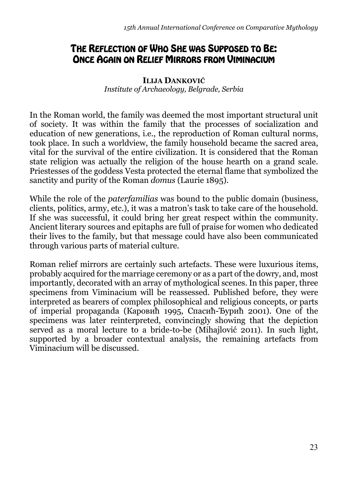## THE REFLECTION OF WHO SHE WAS SUPPOSED TO BE: ONCE AGAIN ON RELIEF MIRRORS FROM VIMINACIUM

### **ILIJA DANKOVIĆ**

*Institute of Archaeology, Belgrade, Serbia*

In the Roman world, the family was deemed the most important structural unit of society. It was within the family that the processes of socialization and education of new generations, i.e., the reproduction of Roman cultural norms, took place. In such a worldview, the family household became the sacred area, vital for the survival of the entire civilization. It is considered that the Roman state religion was actually the religion of the house hearth on a grand scale. Priestesses of the goddess Vesta protected the eternal flame that symbolized the sanctity and purity of the Roman *domus* (Laurie 1895).

While the role of the *paterfamilias* was bound to the public domain (business, clients, politics, army, etc.), it was a matron's task to take care of the household. If she was successful, it could bring her great respect within the community. Ancient literary sources and epitaphs are full of praise for women who dedicated their lives to the family, but that message could have also been communicated through various parts of material culture.

Roman relief mirrors are certainly such artefacts. These were luxurious items, probably acquired for the marriage ceremony or as a part of the dowry, and, most importantly, decorated with an array of mythological scenes. In this paper, three specimens from Viminacium will be reassessed. Published before, they were interpreted as bearers of complex philosophical and religious concepts, or parts of imperial propaganda (Каровић 1995, Спасић-Ђурић 2001). One of the specimens was later reinterpreted, convincingly showing that the depiction served as a moral lecture to a bride-to-be (Mihajlović 2011). In such light, supported by a broader contextual analysis, the remaining artefacts from Viminacium will be discussed.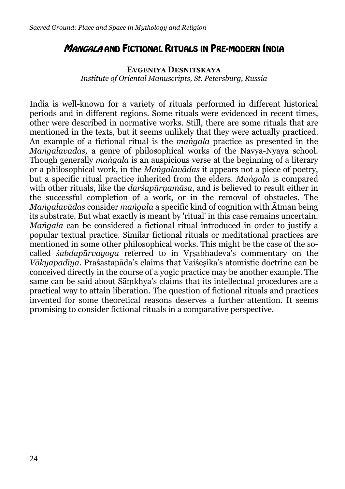## MANGALA AND FICTIONAL RITUALS IN PRE-MODERN INDIA

### **EVGENIYA DESNITSKAYA** *Institute of Oriental Manuscripts, St. Petersburg, Russia*

India is well-known for a variety of rituals performed in different historical periods and in different regions. Some rituals were evidenced in recent times, other were described in normative works. Still, there are some rituals that are mentioned in the texts, but it seems unlikely that they were actually practiced. An example of a fictional ritual is the *maṅgala* practice as presented in the *Maṅgalavādas,* a genre of philosophical works of the Navya-Nyāya school. Though generally *maṅgala* is an auspicious verse at the beginning of a literary or a philosophical work, in the *Maṅgalavādas* it appears not a piece of poetry, but a specific ritual practice inherited from the elders. *Maṅgala* is compared with other rituals, like the *darśapūrṇamāsa*, and is believed to result either in the successful completion of a work, or in the removal of obstacles. The *Maṅgalavādas* consider *maṅgala* a specific kind of cognition with Ātman being its substrate. But what exactly is meant by 'ritual' in this case remains uncertain. *Maṅgala* can be considered a fictional ritual introduced in order to justify a popular textual practice. Similar fictional rituals or meditational practices are mentioned in some other philosophical works. This might be the case of the socalled *śabdapūrvayoga* referred to in Vṛṣabhadeva's commentary on the *Vākyapadīya*. Praśastapāda's claims that Vaiśeṣika's atomistic doctrine can be conceived directly in the course of a yogic practice may be another example. The same can be said about Sāṃkhya's claims that its intellectual procedures are a practical way to attain liberation. The question of fictional rituals and practices invented for some theoretical reasons deserves a further attention. It seems promising to consider fictional rituals in a comparative perspective.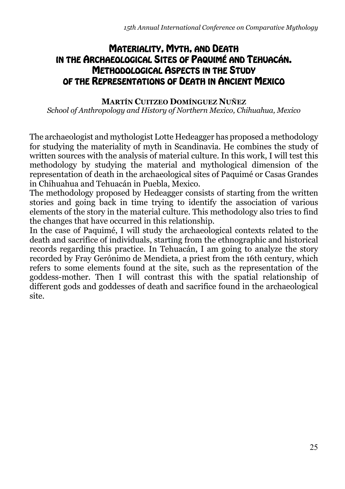## MATERIALITY, MYTH, AND DEATH IN THE ARCHAEOLOGICAL SITES OF PAQUIMÉ AND TEHUACÁN. METHODOLOGICAL ASPECTS IN THE STUDY OF THE REPRESENTATIONS OF DEATH IN ANCIENT MEXICO

**MARTÍN CUITZEO DOMÍNGUEZ NUÑEZ** *School of Anthropology and History of Northern Mexico, Chihuahua, Mexico*

The archaeologist and mythologist Lotte Hedeagger has proposed a methodology for studying the materiality of myth in Scandinavia. He combines the study of written sources with the analysis of material culture. In this work, I will test this methodology by studying the material and mythological dimension of the representation of death in the archaeological sites of Paquimé or Casas Grandes in Chihuahua and Tehuacán in Puebla, Mexico.

The methodology proposed by Hedeagger consists of starting from the written stories and going back in time trying to identify the association of various elements of the story in the material culture. This methodology also tries to find the changes that have occurred in this relationship.

In the case of Paquimé, I will study the archaeological contexts related to the death and sacrifice of individuals, starting from the ethnographic and historical records regarding this practice. In Tehuacán, I am going to analyze the story recorded by Fray Gerónimo de Mendieta, a priest from the 16th century, which refers to some elements found at the site, such as the representation of the goddess-mother. Then I will contrast this with the spatial relationship of different gods and goddesses of death and sacrifice found in the archaeological site.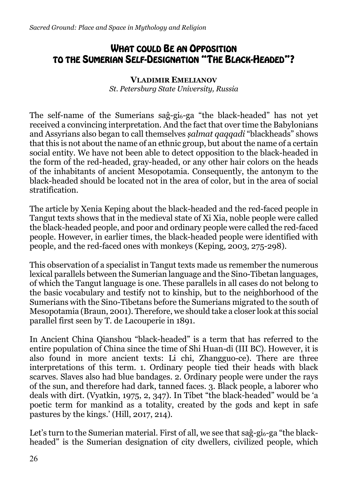## WHAT COULD BE AN OPPOSITION TO THE SUMERIAN SELF-DESIGNATION "THE BLACK-HEADED"?

### **VLADIMIR EMELIANOV** *St. Petersburg State University, Russia*

The self-name of the Sumerians  $sa\hat{g}-ga$  "the black-headed" has not yet received a convincing interpretation. And the fact that over time the Babylonians and Assyrians also began to call themselves *ṣalmat qaqqadi* "blackheads" shows that this is not about the name of an ethnic group, but about the name of a certain social entity. We have not been able to detect opposition to the black-headed in the form of the red-headed, gray-headed, or any other hair colors on the heads of the inhabitants of ancient Mesopotamia. Consequently, the antonym to the black-headed should be located not in the area of color, but in the area of social stratification.

The article by Xenia Keping about the black-headed and the red-faced people in Tangut texts shows that in the medieval state of Xi Xia, noble people were called the black-headed people, and poor and ordinary people were called the red-faced people. However, in earlier times, the black-headed people were identified with people, and the red-faced ones with monkeys (Keping, 2003, 275-298).

This observation of a specialist in Tangut texts made us remember the numerous lexical parallels between the Sumerian language and the Sino-Tibetan languages, of which the Tangut language is one. These parallels in all cases do not belong to the basic vocabulary and testify not to kinship, but to the neighborhood of the Sumerians with the Sino-Tibetans before the Sumerians migrated to the south of Mesopotamia (Braun, 2001). Therefore, we should take a closer look at this social parallel first seen by T. de Lacouperie in 1891.

In Ancient China Qianshou "black-headed" is a term that has referred to the entire population of China since the time of Shi Huan-di (III BC). However, it is also found in more ancient texts: Li chi, Zhangguo-ce). There are three interpretations of this term. 1. Ordinary people tied their heads with black scarves. Slaves also had blue bandages. 2. Ordinary people were under the rays of the sun, and therefore had dark, tanned faces. 3. Black people, a laborer who deals with dirt. (Vyatkin, 1975, 2, 347). In Tibet "the black-headed" would be 'a poetic term for mankind as a totality, created by the gods and kept in safe pastures by the kings.' (Hill, 2017, 214).

Let's turn to the Sumerian material. First of all, we see that  $sa\hat{g}-gi\hat{g}-ga$  "the blackheaded" is the Sumerian designation of city dwellers, civilized people, which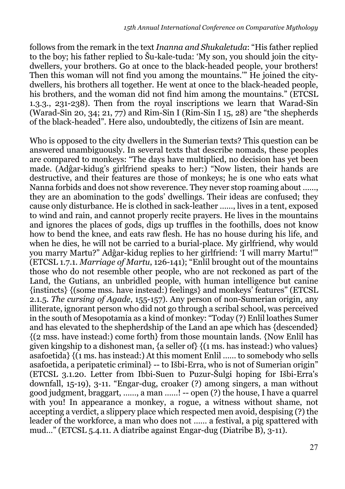follows from the remark in the text *Inanna and Shukaletuda*: "His father replied to the boy; his father replied to Šu-kale-tuda: 'My son, you should join the citydwellers, your brothers. Go at once to the black-headed people, your brothers! Then this woman will not find you among the mountains.'" He joined the citydwellers, his brothers all together. He went at once to the black-headed people, his brothers, and the woman did not find him among the mountains." (ETCSL 1.3.3., 231-238). Then from the royal inscriptions we learn that Warad-Sin (Warad-Sin 20, 34; 21, 77) and Rim-Sin I (Rim-Sin I 15, 28) are "the shepherds of the black-headed". Here also, undoubtedly, the citizens of Isin are meant.

Who is opposed to the city dwellers in the Sumerian texts? This question can be answered unambiguously. In several texts that describe nomads, these peoples are compared to monkeys: "The days have multiplied, no decision has yet been made. (Adĝar-kidug's girlfriend speaks to her:) "Now listen, their hands are destructive, and their features are those of monkeys; he is one who eats what Nanna forbids and does not show reverence. They never stop roaming about ……, they are an abomination to the gods' dwellings. Their ideas are confused; they cause only disturbance. He is clothed in sack-leather ……, lives in a tent, exposed to wind and rain, and cannot properly recite prayers. He lives in the mountains and ignores the places of gods, digs up truffles in the foothills, does not know how to bend the knee, and eats raw flesh. He has no house during his life, and when he dies, he will not be carried to a burial-place. My girlfriend, why would you marry Martu?" Adĝar-kidug replies to her girlfriend: 'I will marry Martu!'" (ETCSL 1.7.1. *Marriage of Martu*, 126-141); "Enlil brought out of the mountains those who do not resemble other people, who are not reckoned as part of the Land, the Gutians, an unbridled people, with human intelligence but canine {instincts} {(some mss. have instead:) feelings} and monkeys' features" (ETCSL 2.1.5. *The cursing of Agade*, 155-157). Any person of non-Sumerian origin, any illiterate, ignorant person who did not go through a scribal school, was perceived in the south of Mesopotamia as a kind of monkey: "Today (?) Enlil loathes Sumer and has elevated to the shepherdship of the Land an ape which has {descended} {(2 mss. have instead:) come forth} from those mountain lands. {Now Enlil has given kingship to a dishonest man, {a seller of} {(1 ms. has instead:) who values} asafoetida} {(1 ms. has instead:) At this moment Enlil …… to somebody who sells asafoetida, a peripatetic criminal} -- to Išbi-Erra, who is not of Sumerian origin" (ETCSL 3.1.20. Letter from Ibbi-Suen to Puzur-Šulgi hoping for Išbi-Erra's downfall, 15-19), 3-11. "Engar-dug, croaker (?) among singers, a man without good judgment, braggart, ……, a man ……! -- open (?) the house, I have a quarrel with you! In appearance a monkey, a rogue, a witness without shame, not accepting a verdict, a slippery place which respected men avoid, despising (?) the leader of the workforce, a man who does not …… a festival, a pig spattered with mud…" (ETCSL 5.4.11. A diatribe against Engar-dug (Diatribe B), 3-11).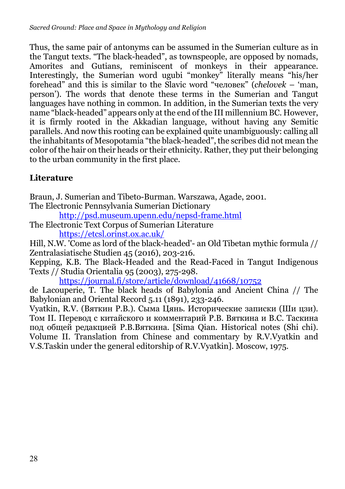Thus, the same pair of antonyms can be assumed in the Sumerian culture as in the Tangut texts. "The black-headed", as townspeople, are opposed by nomads, Amorites and Gutians, reminiscent of monkeys in their appearance. Interestingly, the Sumerian word ugubi "monkey" literally means "his/her forehead" and this is similar to the Slavic word "человек" (*chelovek* – 'man, person'). The words that denote these terms in the Sumerian and Tangut languages have nothing in common. In addition, in the Sumerian texts the very name "black-headed" appears only at the end of the III millennium BC. However, it is firmly rooted in the Akkadian language, without having any Semitic parallels. And now this rooting can be explained quite unambiguously: calling all the inhabitants of Mesopotamia "the black-headed", the scribes did not mean the color of the hair on their heads or their ethnicity. Rather, they put their belonging to the urban community in the first place.

## **Literature**

Braun, J. Sumerian and Tibeto-Burman. Warszawa, Agade, 2001. The Electronic Pennsylvania Sumerian Dictionary

http://psd.museum.upenn.edu/nepsd-frame.html

The Electronic Text Corpus of Sumerian Literature https://etcsl.orinst.ox.ac.uk/

Hill, N.W. 'Come as lord of the black-headed'- an Old Tibetan mythic formula // Zentralasiatische Studien 45 (2016), 203-216.

Kepping, K.B. The Black-Headed and the Read-Faced in Tangut Indigenous Texts // Studia Orientalia 95 (2003), 275-298.

https://journal.fi/store/article/download/41668/10752

de Lacouperie, T. The black heads of Babylonia and Ancient China // The Babylonian and Oriental Record 5.11 (1891), 233-246.

Vyatkin, R.V. (Вяткин Р.В.). Сыма Цянь. Исторические записки (Ши цзи). Том II. Перевод с китайского и комментарий Р.В. Вяткина и В.С. Таскина под общей редакцией Р.В.Вяткина. [Sima Qian. Historical notes (Shi chi). Volume II. Translation from Chinese and commentary by R.V.Vyatkin and V.S.Taskin under the general editorship of R.V.Vyatkin]. Moscow, 1975.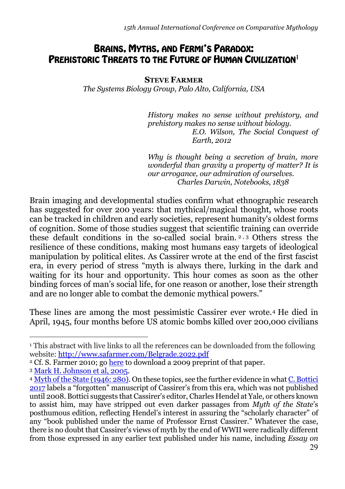## BRAINS, MYTHS, AND FERMI'S PARADOX: PREHISTORIC THREATS TO THE FUTURE OF HUMAN CIVILIZATION<sup>1</sup>

**STEVE FARMER**

*The Systems Biology Group, Palo Alto, California, USA*

*History makes no sense without prehistory, and prehistory makes no sense without biology. E.O. Wilson, The Social Conquest of Earth, 2012*

*Why is thought being a secretion of brain, more wonderful than gravity a property of matter? It is our arrogance, our admiration of ourselves. Charles Darwin, Notebooks, 1838*

Brain imaging and developmental studies confirm what ethnographic research has suggested for over 200 years: that mythical/magical thought, whose roots can be tracked in children and early societies, represent humanity's oldest forms of cognition. Some of those studies suggest that scientific training can override these default conditions in the so-called social brain. <sup>2</sup> , <sup>3</sup> Others stress the resilience of these conditions, making most humans easy targets of ideological manipulation by political elites. As Cassirer wrote at the end of the first fascist era, in every period of stress "myth is always there, lurking in the dark and waiting for its hour and opportunity. This hour comes as soon as the other binding forces of man's social life, for one reason or another, lose their strength and are no longer able to combat the demonic mythical powers."

These lines are among the most pessimistic Cassirer ever wrote.4 He died in April, 1945, four months before US atomic bombs killed over 200,000 civilians

<sup>1</sup> This abstract with live links to all the references can be downloaded from the following website: http://www.safarmer.com/Belgrade.2022.pdf

<sup>&</sup>lt;sup>2</sup> Cf. S. Farmer 2010; go [here](http://www.safarmer.com/neural.origins.of.religion.pdf) to download a 2009 preprint of that paper.

<sup>3</sup> [Mark H. Johnson et al, 2005](https://www.ncbi.nlm.nih.gov/pmc/articles/PMC1464100/pdf/nihms9869.pdf).

<sup>4</sup> [Myth of the State \(1946: 280\).](https://archive.org/details/in.ernet.dli.2015.506295/page/n289/mode/2up) On these topics, see the further evidence in what [C. Bottici](http://www.safarmer.com/Bottici.2017.pdf) 2017 labels a "forgotten" manuscript of Cassirer's from this era, which was not published until 2008. Bottici suggests that Cassirer's editor, Charles Hendel at Yale, or others known to assist him, may have stripped out even darker passages from *Myth of the State*'s posthumous edition, reflecting Hendel's interest in assuring the "scholarly character" of any "book published under the name of Professor Ernst Cassirer." Whatever the case, there is no doubt that Cassirer's views of myth by the end of WWII were radically different from those expressed in any earlier text published under his name, including *Essay on*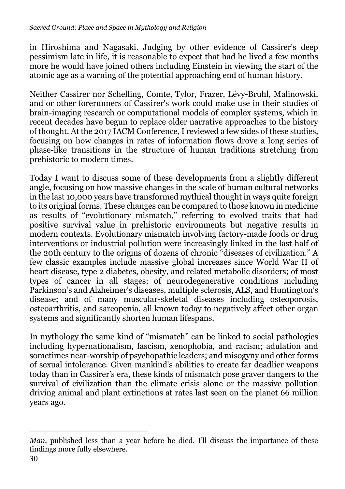in Hiroshima and Nagasaki. Judging by other evidence of Cassirer's deep pessimism late in life, it is reasonable to expect that had he lived a few months more he would have joined others including Einstein in viewing the start of the atomic age as a warning of the potential approaching end of human history.

Neither Cassirer nor Schelling, Comte, Tylor, Frazer, Lévy-Bruhl, Malinowski, and or other forerunners of Cassirer's work could make use in their studies of brain-imaging research or computational models of complex systems, which in recent decades have begun to replace older narrative approaches to the history of thought. At the 2017 IACM Conference, I reviewed a few sides of these studies, focusing on how changes in rates of information flows drove a long series of phase-like transitions in the structure of human traditions stretching from prehistoric to modern times.

Today I want to discuss some of these developments from a slightly different angle, focusing on how massive changes in the scale of human cultural networks in the last 10,000 years have transformed mythical thought in ways quite foreign to its original forms. These changes can be compared to those known in medicine as results of "evolutionary mismatch," referring to evolved traits that had positive survival value in prehistoric environments but negative results in modern contexts. Evolutionary mismatch involving factory-made foods or drug interventions or industrial pollution were increasingly linked in the last half of the 20th century to the origins of dozens of chronic "diseases of civilization." A few classic examples include massive global increases since World War II of heart disease, type 2 diabetes, obesity, and related metabolic disorders; of most types of cancer in all stages; of neurodegenerative conditions including Parkinson's and Alzheimer's diseases, multiple sclerosis, ALS, and Huntington's disease; and of many muscular-skeletal diseases including osteoporosis, osteoarthritis, and sarcopenia, all known today to negatively affect other organ systems and significantly shorten human lifespans.

In mythology the same kind of "mismatch" can be linked to social pathologies including hypernationalism, fascism, xenophobia, and racism; adulation and sometimes near-worship of psychopathic leaders; and misogyny and other forms of sexual intolerance. Given mankind's abilities to create far deadlier weapons today than in Cassirer's era, these kinds of mismatch pose graver dangers to the survival of civilization than the climate crisis alone or the massive pollution driving animal and plant extinctions at rates last seen on the planet 66 million years ago.

*Man*, published less than a year before he died. I'll discuss the importance of these findings more fully elsewhere.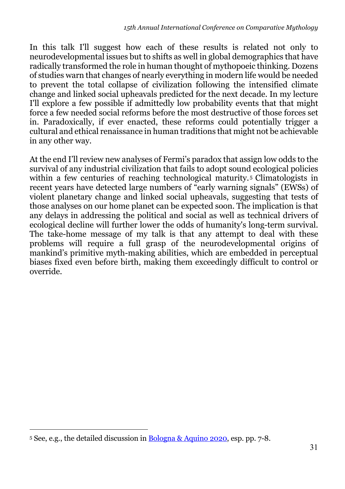In this talk I'll suggest how each of these results is related not only to neurodevelopmental issues but to shifts as well in global demographics that have radically transformed the role in human thought of mythopoeic thinking. Dozens of studies warn that changes of nearly everything in modern life would be needed to prevent the total collapse of civilization following the intensified climate change and linked social upheavals predicted for the next decade. In my lecture I'll explore a few possible if admittedly low probability events that that might force a few needed social reforms before the most destructive of those forces set in. Paradoxically, if ever enacted, these reforms could potentially trigger a cultural and ethical renaissance in human traditions that might not be achievable in any other way.

At the end I'll review new analyses of Fermi's paradox that assign low odds to the survival of any industrial civilization that fails to adopt sound ecological policies within a few centuries of reaching technological maturity.<sup>5</sup> Climatologists in recent years have detected large numbers of "early warning signals" (EWSs) of violent planetary change and linked social upheavals, suggesting that tests of those analyses on our home planet can be expected soon. The implication is that any delays in addressing the political and social as well as technical drivers of ecological decline will further lower the odds of humanity's long-term survival. The take-home message of my talk is that any attempt to deal with these problems will require a full grasp of the neurodevelopmental origins of mankind's primitive myth-making abilities, which are embedded in perceptual biases fixed even before birth, making them exceedingly difficult to control or override.

<sup>&</sup>lt;sup>5</sup> See, e.g., the detailed discussion in [Bologna & Aquino 2020](https://www.nature.com/articles/s41598-020-63657-6.pdf), esp. pp. 7-8.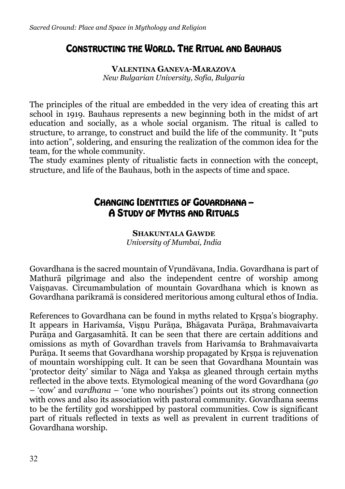## CONSTRUCTING THE WORLD. THE RITUAL AND BAUHAUS

**VALENTINA GANEVA-MARAZOVA** *New Bulgarian University, Sofia, Bulgaria*

The principles of the ritual are embedded in the very idea of creating this art school in 1919. Bauhaus represents a new beginning both in the midst of art education and socially, as a whole social organism. The ritual is called to structure, to arrange, to construct and build the life of the community. It "puts into action", soldering, and ensuring the realization of the common idea for the team, for the whole community.

The study examines plenty of ritualistic facts in connection with the concept, structure, and life of the Bauhaus, both in the aspects of time and space.

## CHANGING IDENTITIES OF GOVARDHANA – A STUDY OF MYTHS AND RITUALS

**SHAKUNTALA GAWDE** *University of Mumbai, India*

Govardhana is the sacred mountain of Vṛundāvana, India. Govardhana is part of Mathurā pilgrimage and also the independent centre of worship among Vaiṣṇavas. Circumambulation of mountain Govardhana which is known as Govardhana parikramā is considered meritorious among cultural ethos of India.

References to Govardhana can be found in myths related to Krsna's biography. It appears in Harivamśa, Visnu Purāna, Bhāgavata Purāna, Brahmavaivarta Purāṇa and Gargasamhitā. It can be seen that there are certain additions and omissions as myth of Govardhan travels from Harivamśa to Brahmavaivarta Purāṇa. It seems that Govardhana worship propagated by Kṛṣṇa is rejuvenation of mountain worshipping cult. It can be seen that Govardhana Mountain was 'protector deity' similar to Nāga and Yakṣa as gleaned through certain myths reflected in the above texts. Etymological meaning of the word Govardhana (*go* – 'cow' and *vardhana* – 'one who nourishes') points out its strong connection with cows and also its association with pastoral community. Govardhana seems to be the fertility god worshipped by pastoral communities. Cow is significant part of rituals reflected in texts as well as prevalent in current traditions of Govardhana worship.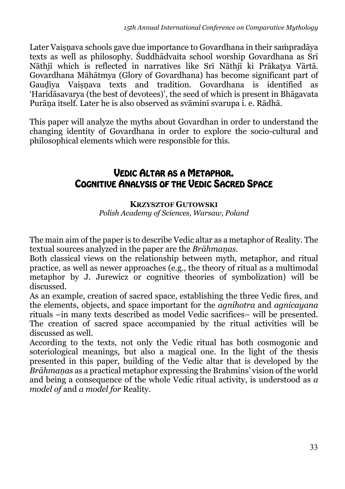Later Vaiṣṇava schools gave due importance to Govardhana in their saṁpradāya texts as well as philosophy. Śuddhādvaita school worship Govardhana as Srī Nāthjī which is reflected in narratives like Srī Nāthjī ki Prākaṭya Vārtā. Govardhana Māhātmya (Glory of Govardhana) has become significant part of Gaudīya Vaisnava texts and tradition. Govardhana is identified as 'Haridāsavarya (the best of devotees)', the seed of which is present in Bhāgavata Purāṇa itself. Later he is also observed as svāminī svarupa i. e. Rādhā.

This paper will analyze the myths about Govardhan in order to understand the changing identity of Govardhana in order to explore the socio-cultural and philosophical elements which were responsible for this.

## VEDIC ALTAR AS A METAPHOR. COGNITIVE ANALYSIS OF THE VEDIC SACRED SPACE

### **KRZYSZTOF GUTOWSKI**

*Polish Academy of Sciences, Warsaw, Poland* 

The main aim of the paper is to describe Vedic altar as a metaphor of Reality. The textual sources analyzed in the paper are the *Brāhmaṇas*.

Both classical views on the relationship between myth, metaphor, and ritual practice, as well as newer approaches (e.g., the theory of ritual as a multimodal metaphor by J. Jurewicz or cognitive theories of symbolization) will be discussed.

As an example, creation of sacred space, establishing the three Vedic fires, and the elements, objects, and space important for the *agnihotra* and *agnicayana* rituals –in many texts described as model Vedic sacrifices– will be presented. The creation of sacred space accompanied by the ritual activities will be discussed as well.

According to the texts, not only the Vedic ritual has both cosmogonic and soteriological meanings, but also a magical one. In the light of the thesis presented in this paper, building of the Vedic altar that is developed by the *Brāhmaṇas* as a practical metaphor expressing the Brahmins' vision of the world and being a consequence of the whole Vedic ritual activity, is understood as *a model of* and *a model for* Reality.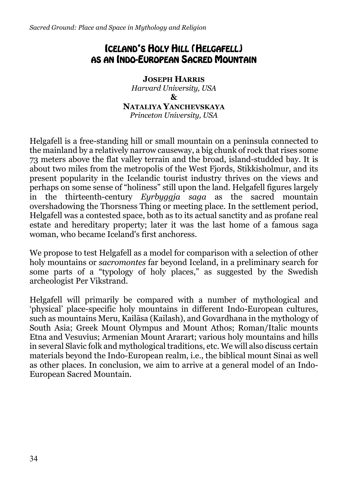## ICELAND'S HOLY HILL (HELGAFELL) AS AN INDO-EUROPEAN SACRED MOUNTAIN

**JOSEPH HARRIS**  *Harvard University, USA* **& NATALIYA YANCHEVSKAYA** *Princeton University, USA*

Helgafell is a free-standing hill or small mountain on a peninsula connected to the mainland by a relatively narrow causeway, a big chunk of rock that rises some 73 meters above the flat valley terrain and the broad, island-studded bay. It is about two miles from the metropolis of the West Fjords, Stikkisholmur, and its present popularity in the Icelandic tourist industry thrives on the views and perhaps on some sense of "holiness" still upon the land. Helgafell figures largely in the thirteenth-century *Eyrbyggja saga* as the sacred mountain overshadowing the Thorsness Thing or meeting place. In the settlement period, Helgafell was a contested space, both as to its actual sanctity and as profane real estate and hereditary property; later it was the last home of a famous saga woman, who became Iceland's first anchoress.

We propose to test Helgafell as a model for comparison with a selection of other holy mountains or *sacromontes* far beyond Iceland, in a preliminary search for some parts of a "typology of holy places," as suggested by the Swedish archeologist Per Vikstrand.

Helgafell will primarily be compared with a number of mythological and 'physical' place-specific holy mountains in different Indo-European cultures, such as mountains Meru, Kailāsa (Kailash), and Govardhana in the mythology of South Asia; Greek Mount Olympus and Mount Athos; Roman/Italic mounts Etna and Vesuvius; Armenian Mount Ararart; various holy mountains and hills in several Slavic folk and mythological traditions, etc. We will also discuss certain materials beyond the Indo-European realm, i.e., the biblical mount Sinai as well as other places. In conclusion, we aim to arrive at a general model of an Indo-European Sacred Mountain.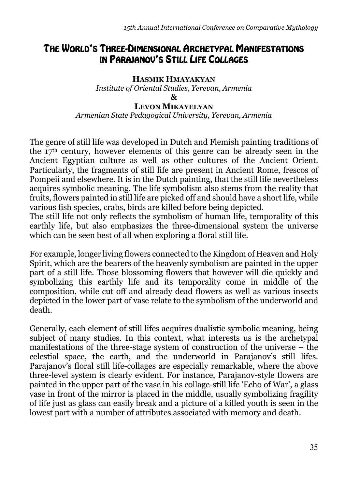## THE WORLD'S THREE-DIMENSIONAL ARCHETYPAL MANIFESTATIONS IN PARAJANOV'S STILL LIFE COLLAGES

### **HASMIK HMAYAKYAN**  *Institute of Oriental Studies, Yerevan, Armenia*

**&**

#### **LEVON MIKAYELYAN**

*Armenian State Pedagogical University, Yerevan, Armenia*

The genre of still life was developed in Dutch and Flemish painting traditions of the 17th century, however elements of this genre can be already seen in the Ancient Egyptian culture as well as other cultures of the Ancient Orient. Particularly, the fragments of still life are present in Ancient Rome, frescos of Pompeii and elsewhere. It is in the Dutch painting, that the still life nevertheless acquires symbolic meaning. The life symbolism also stems from the reality that fruits, flowers painted in still life are picked off and should have a short life, while various fish species, crabs, birds are killed before being depicted.

The still life not only reflects the symbolism of human life, temporality of this earthly life, but also emphasizes the three-dimensional system the universe which can be seen best of all when exploring a floral still life.

For example, longer living flowers connected to the Kingdom of Heaven and Holy Spirit, which are the bearers of the heavenly symbolism are painted in the upper part of a still life. Those blossoming flowers that however will die quickly and symbolizing this earthly life and its temporality come in middle of the composition, while cut off and already dead flowers as well as various insects depicted in the lower part of vase relate to the symbolism of the underworld and death.

Generally, each element of still lifes acquires dualistic symbolic meaning, being subject of many studies. In this context, what interests us is the archetypal manifestations of the three-stage system of construction of the universe – the celestial space, the earth, and the underworld in Parajanov's still lifes. Parajanov's floral still life-collages are especially remarkable, where the above three-level system is clearly evident. For instance, Parajanov-style flowers are painted in the upper part of the vase in his collage-still life 'Echo of War', a glass vase in front of the mirror is placed in the middle, usually symbolizing fragility of life just as glass can easily break and a picture of a killed youth is seen in the lowest part with a number of attributes associated with memory and death.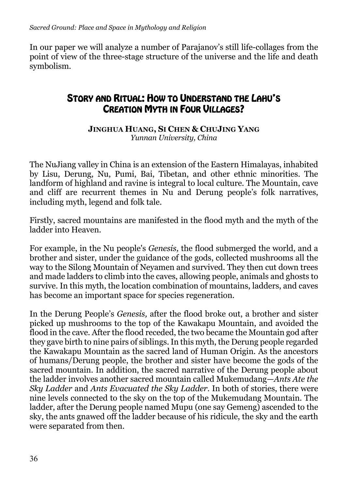In our paper we will analyze a number of Parajanov's still life-collages from the point of view of the three-stage structure of the universe and the life and death symbolism.

## STORY AND RITUAL: HOW TO UNDERSTAND THE LAHU'S CREATION MYTH IN FOUR VILLAGES?

**JINGHUA HUANG, SI CHEN & CHUJING YANG** *Yunnan University, China*

The NuJiang valley in China is an extension of the Eastern Himalayas, inhabited by Lisu, Derung, Nu, Pumi, Bai, Tibetan, and other ethnic minorities. The landform of highland and ravine is integral to local culture. The Mountain, cave and cliff are recurrent themes in Nu and Derung people's folk narratives, including myth, legend and folk tale.

Firstly, sacred mountains are manifested in the flood myth and the myth of the ladder into Heaven.

For example, in the Nu people's *Genesis,* the flood submerged the world, and a brother and sister, under the guidance of the gods, collected mushrooms all the way to the Silong Mountain of Neyamen and survived. They then cut down trees and made ladders to climb into the caves, allowing people, animals and ghosts to survive. In this myth, the location combination of mountains, ladders, and caves has become an important space for species regeneration.

In the Derung People's *Genesis,* after the flood broke out, a brother and sister picked up mushrooms to the top of the Kawakapu Mountain, and avoided the flood in the cave. After the flood receded, the two became the Mountain god after they gave birth to nine pairs of siblings. In this myth, the Derung people regarded the Kawakapu Mountain as the sacred land of Human Origin. As the ancestors of humans/Derung people, the brother and sister have become the gods of the sacred mountain. In addition, the sacred narrative of the Derung people about the ladder involves another sacred mountain called Mukemudang—*Ants Ate the Sky Ladder* and *Ants Evacuated the Sky Ladder.* In both of stories, there were nine levels connected to the sky on the top of the Mukemudang Mountain. The ladder, after the Derung people named Mupu (one say Gemeng) ascended to the sky, the ants gnawed off the ladder because of his ridicule, the sky and the earth were separated from then.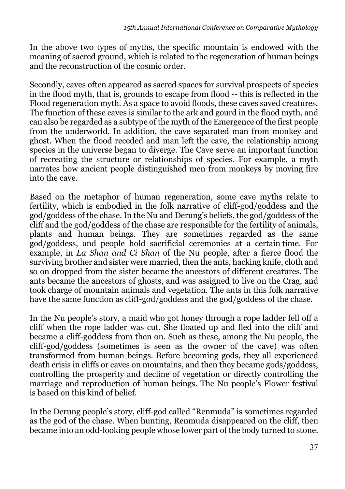In the above two types of myths, the specific mountain is endowed with the meaning of sacred ground, which is related to the regeneration of human beings and the reconstruction of the cosmic order.

Secondly, caves often appeared as sacred spaces for survival prospects of species in the flood myth, that is, grounds to escape from flood -- this is reflected in the Flood regeneration myth. As a space to avoid floods, these caves saved creatures. The function of these caves is similar to the ark and gourd in the flood myth, and can also be regarded as a subtype of the myth of the Emergence of the first people from the underworld. In addition, the cave separated man from monkey and ghost. When the flood receded and man left the cave, the relationship among species in the universe began to diverge. The Cave serve an important function of recreating the structure or relationships of species. For example, a myth narrates how ancient people distinguished men from monkeys by moving fire into the cave.

Based on the metaphor of human regeneration, some cave myths relate to fertility, which is embodied in the folk narrative of cliff-god/goddess and the god/goddess of the chase. In the Nu and Derung's beliefs, the god/goddess of the cliff and the god/goddess of the chase are responsible for the fertility of animals, plants and human beings. They are sometimes regarded as the same god/goddess, and people hold sacrificial ceremonies at a certain time. For example, in *La Shan and Ci Shan* of the Nu people, after a fierce flood the surviving brother and sister were married, then the ants, hacking knife, cloth and so on dropped from the sister became the ancestors of different creatures. The ants became the ancestors of ghosts, and was assigned to live on the Crag, and took charge of mountain animals and vegetation. The ants in this folk narrative have the same function as cliff-god/goddess and the god/goddess of the chase.

In the Nu people's story, a maid who got honey through a rope ladder fell off a cliff when the rope ladder was cut. She floated up and fled into the cliff and became a cliff-goddess from then on. Such as these, among the Nu people, the cliff-god/goddess (sometimes is seen as the owner of the cave) was often transformed from human beings. Before becoming gods, they all experienced death crisis in cliffs or caves on mountains, and then they became gods/goddess, controlling the prosperity and decline of vegetation or directly controlling the marriage and reproduction of human beings. The Nu people's Flower festival is based on this kind of belief.

In the Derung people's story, cliff-god called "Renmuda" is sometimes regarded as the god of the chase. When hunting, Renmuda disappeared on the cliff, then became into an odd-looking people whose lower part of the body turned to stone.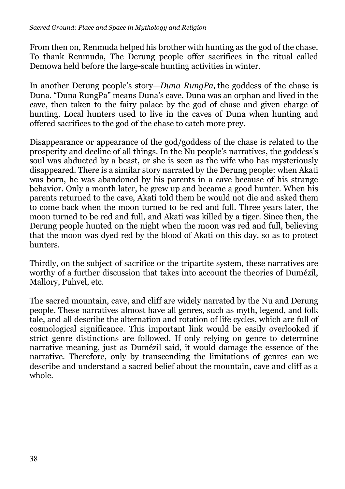From then on, Renmuda helped his brother with hunting as the god of the chase. To thank Renmuda, The Derung people offer sacrifices in the ritual called Demowa held before the large-scale hunting activities in winter.

In another Derung people's story—*Duna RungPa*,the goddess of the chase is Duna. "Duna RungPa" means Duna's cave. Duna was an orphan and lived in the cave, then taken to the fairy palace by the god of chase and given charge of hunting. Local hunters used to live in the caves of Duna when hunting and offered sacrifices to the god of the chase to catch more prey.

Disappearance or appearance of the god/goddess of the chase is related to the prosperity and decline of all things. In the Nu people's narratives, the goddess's soul was abducted by a beast, or she is seen as the wife who has mysteriously disappeared. There is a similar story narrated by the Derung people: when Akati was born, he was abandoned by his parents in a cave because of his strange behavior. Only a month later, he grew up and became a good hunter. When his parents returned to the cave, Akati told them he would not die and asked them to come back when the moon turned to be red and full. Three years later, the moon turned to be red and full, and Akati was killed by a tiger. Since then, the Derung people hunted on the night when the moon was red and full, believing that the moon was dyed red by the blood of Akati on this day, so as to protect hunters.

Thirdly, on the subject of sacrifice or the tripartite system, these narratives are worthy of a further discussion that takes into account the theories of Dumézil, Mallory, Puhvel, etc.

The sacred mountain, cave, and cliff are widely narrated by the Nu and Derung people. These narratives almost have all genres, such as myth, legend, and folk tale, and all describe the alternation and rotation of life cycles, which are full of cosmological significance. This important link would be easily overlooked if strict genre distinctions are followed. If only relying on genre to determine narrative meaning, just as Dumézil said, it would damage the essence of the narrative. Therefore, only by transcending the limitations of genres can we describe and understand a sacred belief about the mountain, cave and cliff as a whole.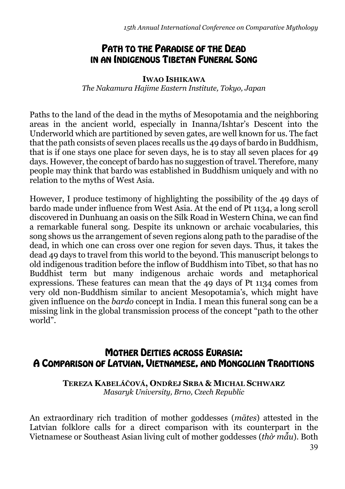## PATH TO THE PARADISE OF THE DEAD IN AN INDIGENOUS TIBETAN FUNERAL SONG

### **IWAO ISHIKAWA**

*The Nakamura Hajime Eastern Institute, Tokyo, Japan*

Paths to the land of the dead in the myths of Mesopotamia and the neighboring areas in the ancient world, especially in Inanna/Ishtar's Descent into the Underworld which are partitioned by seven gates, are well known for us. The fact that the path consists of seven places recalls us the 49 days of bardo in Buddhism, that is if one stays one place for seven days, he is to stay all seven places for 49 days. However, the concept of bardo has no suggestion of travel. Therefore, many people may think that bardo was established in Buddhism uniquely and with no relation to the myths of West Asia.

However, I produce testimony of highlighting the possibility of the 49 days of bardo made under influence from West Asia. At the end of Pt 1134, a long scroll discovered in Dunhuang an oasis on the Silk Road in Western China, we can find a remarkable funeral song. Despite its unknown or archaic vocabularies, this song shows us the arrangement of seven regions along path to the paradise of the dead, in which one can cross over one region for seven days. Thus, it takes the dead 49 days to travel from this world to the beyond. This manuscript belongs to old indigenous tradition before the inflow of Buddhism into Tibet, so that has no Buddhist term but many indigenous archaic words and metaphorical expressions. These features can mean that the 49 days of Pt 1134 comes from very old non-Buddhism similar to ancient Mesopotamia's, which might have given influence on the *bardo* concept in India. I mean this funeral song can be a missing link in the global transmission process of the concept "path to the other world".

## MOTHER DEITIES ACROSS EURASIA: A COMPARISON OF LATVIAN, VIETNAMESE, AND MONGOLIAN TRADITIONS

**TEREZA KABELÁČOVÁ, ONDŘEJ SRBA & MICHAL SCHWARZ** *Masaryk University, Brno, Czech Republic*

An extraordinary rich tradition of mother goddesses (*mātes*) attested in the Latvian folklore calls for a direct comparison with its counterpart in the Vietnamese or Southeast Asian living cult of mother goddesses (*thờ mẫu*). Both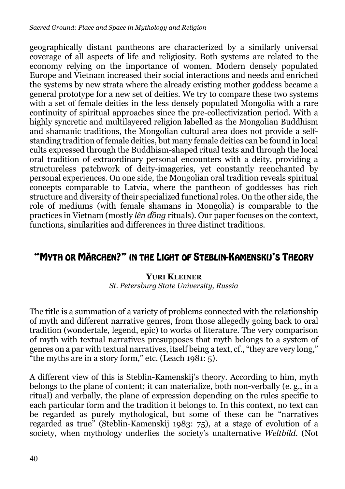geographically distant pantheons are characterized by a similarly universal coverage of all aspects of life and religiosity. Both systems are related to the economy relying on the importance of women. Modern densely populated Europe and Vietnam increased their social interactions and needs and enriched the systems by new strata where the already existing mother goddess became a general prototype for a new set of deities. We try to compare these two systems with a set of female deities in the less densely populated Mongolia with a rare continuity of spiritual approaches since the pre-collectivization period. With a highly syncretic and multilayered religion labelled as the Mongolian Buddhism and shamanic traditions, the Mongolian cultural area does not provide a selfstanding tradition of female deities, but many female deities can be found in local cults expressed through the Buddhism-shaped ritual texts and through the local oral tradition of extraordinary personal encounters with a deity, providing a structureless patchwork of deity-imageries, yet constantly reenchanted by personal experiences. On one side, the Mongolian oral tradition reveals spiritual concepts comparable to Latvia, where the pantheon of goddesses has rich structure and diversity of their specialized functional roles. On the other side, the role of mediums (with female shamans in Mongolia) is comparable to the practices in Vietnam (mostly *lên đồng* rituals). Our paper focuses on the context, functions, similarities and differences in three distinct traditions.

## "MYTH OR MÄRCHEN?" IN THE LIGHT OF STEBLIN-KAMENSKIJ'S THEORY

### **YURI KLEINER**

*St. Petersburg State University, Russia* 

The title is a summation of a variety of problems connected with the relationship of myth and different narrative genres, from those allegedly going back to oral tradition (wondertale, legend, epic) to works of literature. The very comparison of myth with textual narratives presupposes that myth belongs to a system of genres on a par with textual narratives, itself being a text, cf., "they are very long," "the myths are in a story form," etc. (Leach  $1981:5$ ).

A different view of this is Steblin-Kamenskij's theory. According to him, myth belongs to the plane of content; it can materialize, both non-verbally (e. g., in a ritual) and verbally, the plane of expression depending on the rules specific to each particular form and the tradition it belongs to. In this context, no text can be regarded as purely mythological, but some of these can be "narratives regarded as true" (Steblin-Kamenskij 1983: 75), at a stage of evolution of a society, when mythology underlies the society's unalternative *Weltbild*. (Not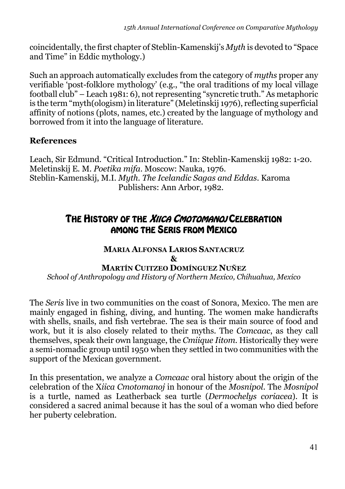coincidentally, the first chapter of Steblin-Kamenskij's *Myth* is devoted to "Space and Time" in Eddic mythology.)

Such an approach automatically excludes from the category of *myths* proper any verifiable 'post-folklore mythology' (e.g., "the oral traditions of my local village football club" – Leach 1981: 6), not representing "syncretic truth." As metaphoric is the term "myth(ologism) in literature" (Meletinskij 1976), reflecting superficial affinity of notions (plots, names, etc.) created by the language of mythology and borrowed from it into the language of literature.

### **References**

Leach, Sir Edmund. "Critical Introduction." In: Steblin-Kamenskij 1982: 1-20. Meletinskij E. M. *Poetika mifa*. Moscow: Nauka, 1976. Steblin-Kamenskij, M.I. *Myth. The Icelandic Sagas and Eddas*. Karoma Publishers: Ann Arbor, 1982.

## THE HISTORY OF THE *XIICA CMOTOMANOJ* CELEBRATION AMONG THE SERIS FROM MEXICO

### **MARIA ALFONSA LARIOS SANTACRUZ & MARTÍN CUITZEO DOMÍNGUEZ NUÑEZ**

*School of Anthropology and History of Northern Mexico, Chihuahua, Mexico*

The *Seris* live in two communities on the coast of Sonora, Mexico. The men are mainly engaged in fishing, diving, and hunting. The women make handicrafts with shells, snails, and fish vertebrae. The sea is their main source of food and work, but it is also closely related to their myths. The *Comcaac*, as they call themselves, speak their own language, the *Cmiique Iitom*. Historically they were a semi-nomadic group until 1950 when they settled in two communities with the support of the Mexican government.

In this presentation, we analyze a *Comcaac* oral history about the origin of the celebration of the X*iica Cmotomanoj* in honour of the *Mosnipol*. The *Mosnipol* is a turtle, named as Leatherback sea turtle (*Dermochelys coriacea*). It is considered a sacred animal because it has the soul of a woman who died before her puberty celebration.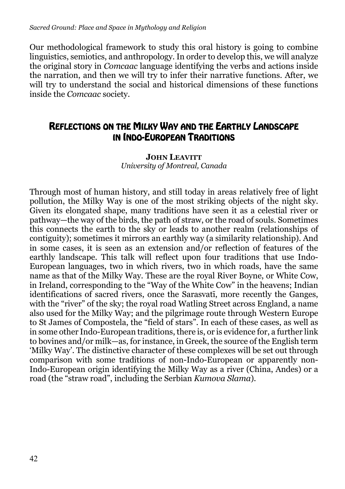Our methodological framework to study this oral history is going to combine linguistics, semiotics, and anthropology. In order to develop this, we will analyze the original story in *Comcaac* language identifying the verbs and actions inside the narration, and then we will try to infer their narrative functions. After, we will try to understand the social and historical dimensions of these functions inside the *Comcaac* society.

## REFLECTIONS ON THE MILKY WAY AND THE EARTHLY LANDSCAPE IN INDO-EUROPEAN TRADITIONS

### **JOHN LEAVITT** *University of Montreal, Canada*

Through most of human history, and still today in areas relatively free of light pollution, the Milky Way is one of the most striking objects of the night sky. Given its elongated shape, many traditions have seen it as a celestial river or pathway—the way of the birds, the path of straw, or the road of souls. Sometimes this connects the earth to the sky or leads to another realm (relationships of contiguity); sometimes it mirrors an earthly way (a similarity relationship). And in some cases, it is seen as an extension and/or reflection of features of the earthly landscape. This talk will reflect upon four traditions that use Indo-European languages, two in which rivers, two in which roads, have the same name as that of the Milky Way. These are the royal River Boyne, or White Cow, in Ireland, corresponding to the "Way of the White Cow" in the heavens; Indian identifications of sacred rivers, once the Sarasvatī, more recently the Ganges, with the "river" of the sky; the royal road Watling Street across England, a name also used for the Milky Way; and the pilgrimage route through Western Europe to St James of Compostela, the "field of stars". In each of these cases, as well as in some other Indo-European traditions, there is, or is evidence for, a further link to bovines and/or milk—as, for instance, in Greek, the source of the English term 'Milky Way'. The distinctive character of these complexes will be set out through comparison with some traditions of non-Indo-European or apparently non-Indo-European origin identifying the Milky Way as a river (China, Andes) or a road (the "straw road", including the Serbian *Kumova Slama*).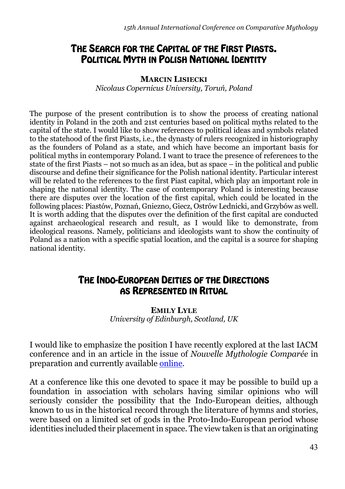## THE SEARCH FOR THE CAPITAL OF THE FIRST PIASTS. POLITICAL MYTH IN POLISH NATIONAL IDENTITY

#### **MARCIN LISIECKI**

*Nicolaus Copernicus University, Toruń, Poland*

The purpose of the present contribution is to show the process of creating national identity in Poland in the 20th and 21st centuries based on political myths related to the capital of the state. I would like to show references to political ideas and symbols related to the statehood of the first Piasts, i.e., the dynasty of rulers recognized in historiography as the founders of Poland as a state, and which have become an important basis for political myths in contemporary Poland. I want to trace the presence of references to the state of the first Piasts – not so much as an idea, but as space – in the political and public discourse and define their significance for the Polish national identity. Particular interest will be related to the references to the first Piast capital, which play an important role in shaping the national identity. The case of contemporary Poland is interesting because there are disputes over the location of the first capital, which could be located in the following places: Piastów, Poznań, Gniezno, Giecz, Ostrów Lednicki, and Grzybów as well. It is worth adding that the disputes over the definition of the first capital are conducted against archaeological research and result, as I would like to demonstrate, from ideological reasons. Namely, politicians and ideologists want to show the continuity of Poland as a nation with a specific spatial location, and the capital is a source for shaping national identity.

### THE INDO-EUROPEAN DEITIES OF THE DIRECTIONS AS REPRESENTED IN RITUAL

**EMILY LYLE**  *University of Edinburgh, Scotland, UK*

I would like to emphasize the position I have recently explored at the last IACM conference and in an article in the issue of *Nouvelle Mythologie Comparée* in preparation and currently available [online](http://nouvellemythologiecomparee.hautetfort.com/archive/2021/12/19/emily-lyle-the-female-quarter-6355959.html).

At a conference like this one devoted to space it may be possible to build up a foundation in association with scholars having similar opinions who will seriously consider the possibility that the Indo-European deities, although known to us in the historical record through the literature of hymns and stories, were based on a limited set of gods in the Proto-Indo-European period whose identities included their placement in space. The view taken is that an originating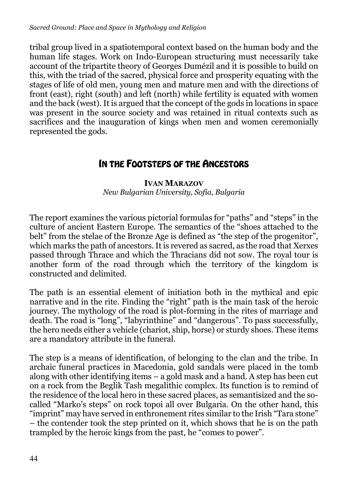tribal group lived in a spatiotemporal context based on the human body and the human life stages. Work on Indo-European structuring must necessarily take account of the tripartite theory of Georges Dumézil and it is possible to build on this, with the triad of the sacred, physical force and prosperity equating with the stages of life of old men, young men and mature men and with the directions of front (east), right (south) and left (north) while fertility is equated with women and the back (west). It is argued that the concept of the gods in locations in space was present in the source society and was retained in ritual contexts such as sacrifices and the inauguration of kings when men and women ceremonially represented the gods.

## IN THE FOOTSTEPS OF THE ANCESTORS

### **IVAN MARAZOV** *New Bulgarian University, Sofia, Bulgaria*

The report examines the various pictorial formulas for "paths" and "steps" in the culture of ancient Eastern Europe. The semantics of the "shoes attached to the belt" from the stelae of the Bronze Age is defined as "the step of the progenitor", which marks the path of ancestors. It is revered as sacred, as the road that Xerxes passed through Thrace and which the Thracians did not sow. The royal tour is another form of the road through which the territory of the kingdom is constructed and delimited.

The path is an essential element of initiation both in the mythical and epic narrative and in the rite. Finding the "right" path is the main task of the heroic journey. The mythology of the road is plot-forming in the rites of marriage and death. The road is "long", "labyrinthine" and "dangerous". To pass successfully, the hero needs either a vehicle (chariot, ship, horse) or sturdy shoes. These items are a mandatory attribute in the funeral.

The step is a means of identification, of belonging to the clan and the tribe. In archaic funeral practices in Macedonia, gold sandals were placed in the tomb along with other identifying items – a gold mask and a hand. A step has been cut on a rock from the Beglik Tash megalithic complex. Its function is to remind of the residence of the local hero in these sacred places, as semantisized and the socalled "Marko's steps" on rock topoi all over Bulgaria. On the other hand, this "imprint" may have served in enthronement rites similar to the Irish "Tara stone" – the contender took the step printed on it, which shows that he is on the path trampled by the heroic kings from the past, he "comes to power".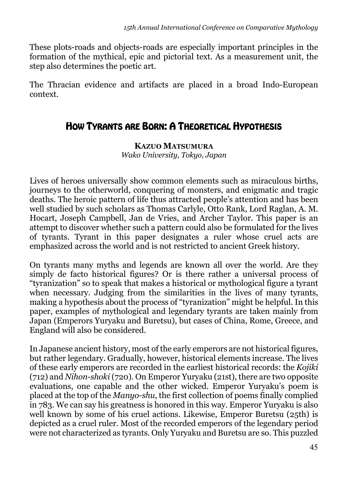These plots-roads and objects-roads are especially important principles in the formation of the mythical, epic and pictorial text. As a measurement unit, the step also determines the poetic art.

The Thracian evidence and artifacts are placed in a broad Indo-European context.

## HOW TYRANTS ARE BORN: A THEORETICAL HYPOTHESIS

**KAZUO MATSUMURA**

*Wako University, Tokyo, Japan*

Lives of heroes universally show common elements such as miraculous births, journeys to the otherworld, conquering of monsters, and enigmatic and tragic deaths. The heroic pattern of life thus attracted people's attention and has been well studied by such scholars as Thomas Carlyle, Otto Rank, Lord Raglan, A. M. Hocart, Joseph Campbell, Jan de Vries, and Archer Taylor. This paper is an attempt to discover whether such a pattern could also be formulated for the lives of tyrants. Tyrant in this paper designates a ruler whose cruel acts are emphasized across the world and is not restricted to ancient Greek history.

On tyrants many myths and legends are known all over the world. Are they simply de facto historical figures? Or is there rather a universal process of "tyranization" so to speak that makes a historical or mythological figure a tyrant when necessary. Judging from the similarities in the lives of many tyrants, making a hypothesis about the process of "tyranization" might be helpful. In this paper, examples of mythological and legendary tyrants are taken mainly from Japan (Emperors Yuryaku and Buretsu), but cases of China, Rome, Greece, and England will also be considered.

In Japanese ancient history, most of the early emperors are not historical figures, but rather legendary. Gradually, however, historical elements increase. The lives of these early emperors are recorded in the earliest historical records: the *Kojiki* (712) and *Nihon-shoki* (720). On Emperor Yuryaku (21st), there are two opposite evaluations, one capable and the other wicked. Emperor Yuryaku's poem is placed at the top of the *Manyo-shu*, the first collection of poems finally complied in 783. We can say his greatness is honored in this way. Emperor Yuryaku is also well known by some of his cruel actions. Likewise, Emperor Buretsu (25th) is depicted as a cruel ruler. Most of the recorded emperors of the legendary period were not characterized as tyrants. Only Yuryaku and Buretsu are so. This puzzled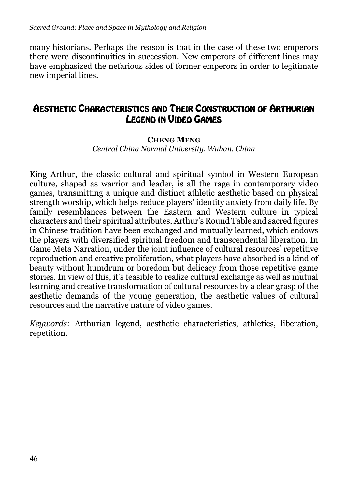many historians. Perhaps the reason is that in the case of these two emperors there were discontinuities in succession. New emperors of different lines may have emphasized the nefarious sides of former emperors in order to legitimate new imperial lines.

## AESTHETIC CHARACTERISTICS AND THEIR CONSTRUCTION OF ARTHURIAN LEGEND IN VIDEO GAMES

### **CHENG MENG** *Central China Normal University, Wuhan, China*

King Arthur, the classic cultural and spiritual symbol in Western European culture, shaped as warrior and leader, is all the rage in contemporary video games, transmitting a unique and distinct athletic aesthetic based on physical strength worship, which helps reduce players' identity anxiety from daily life. By family resemblances between the Eastern and Western culture in typical characters and their spiritual attributes, Arthur's Round Table and sacred figures in Chinese tradition have been exchanged and mutually learned, which endows the players with diversified spiritual freedom and transcendental liberation. In Game Meta Narration, under the joint influence of cultural resources' repetitive reproduction and creative proliferation, what players have absorbed is a kind of beauty without humdrum or boredom but delicacy from those repetitive game stories. In view of this, it's feasible to realize cultural exchange as well as mutual learning and creative transformation of cultural resources by a clear grasp of the aesthetic demands of the young generation, the aesthetic values of cultural resources and the narrative nature of video games.

*Keywords:* Arthurian legend, aesthetic characteristics, athletics, liberation, repetition.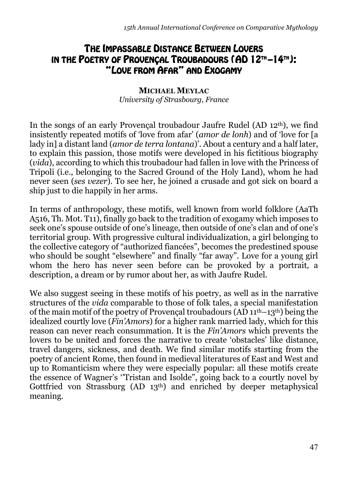## THE IMPASSABLE DISTANCE BETWEEN LOVERS IN THE POETRY OF PROVENÇAL TROUBADOURS (AD 12TH –14TH): "LOVE FROM AFAR" AND EXOGAMY

### **MICHAEL MEYLAC** *University of Strasbourg, France*

In the songs of an early Provençal troubadour Jaufre Rudel (AD 12th), we find insistently repeated motifs of 'love from afar' (*amor de lonh*) and of 'love for [a lady in] a distant land (*amor de terra lontana*)'. About a century and a half later, to explain this passion, thоse motifs were developed in his fictitious biography (*vida*), according to which this troubadour had fallen in love with the Princess of Tripoli (i.e., belonging to the Sacred Ground of the Holy Land), whom he had never seen (*ses vezer*). To see her, he joined a crusade and got sick on board a ship just to die happily in her arms.

In terms of anthropology, these motifs, well known from world folklore (AaTh А516, Th. Mot. Т11), finally go back to the tradition of exogamy which imposes to seek one's spouse outside of one's lineage, then outside of one's clan and of one's territorial group. With progressive cultural individualization, a girl belonging to the collective category of "authorized fiancées", becomes the predestined spouse who should be sought "elsewhere" and finally "far away". Love for a young girl whom the hero has never seen before can be provoked by a portrait, a description, a dream or by rumor about her, as with Jaufre Rudel.

We also suggest seeing in these motifs of his poetry, as well as in the narrative structures of the *vida* comparable to those of folk tales, a special manifestation of the main motif of the poetry of Provencal troubadours ( $AD 11<sup>th</sup>-13<sup>th</sup>$ ) being the idealized courtly love (*Fin'Amors*) for a higher rank married lady, which for this reason can never reach consummation. It is the *Fin'Amors* which prevents the lovers to be united and forces the narrative to create 'obstacles' like distance, travel dangers, sickness, and death. We find similar motifs starting from the poetry of ancient Rome, then found in medieval literatures of East and West and up to Romanticism where they were especially popular: all these motifs create the essence of Wagner's ''Tristan and Isolde", going back to a courtly novel by Gottfried von Strassburg (AD 13th) and enriched by deeper metaphysical meaning.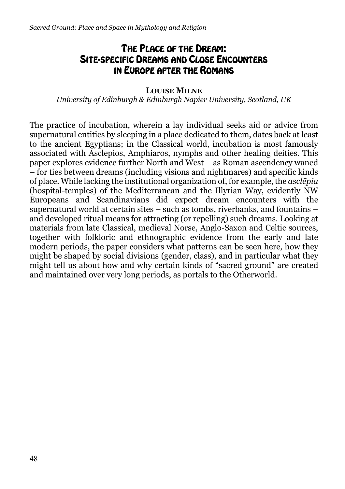## THE PLACE OF THE DREAM: SITE-SPECIFIC DREAMS AND CLOSE ENCOUNTERS IN EUROPE AFTER THE ROMANS

### **LOUISE MILNE**

*University of Edinburgh & Edinburgh Napier University, Scotland, UK* 

The practice of incubation, wherein a lay individual seeks aid or advice from supernatural entities by sleeping in a place dedicated to them, dates back at least to the ancient Egyptians; in the Classical world, incubation is most famously associated with Asclepios, Amphiaros, nymphs and other healing deities. This paper explores evidence further North and West – as Roman ascendency waned – for ties between dreams (including visions and nightmares) and specific kinds of place. While lacking the institutional organization of, for example, the *asclēpia* (hospital-temples) of the Mediterranean and the Illyrian Way, evidently NW Europeans and Scandinavians did expect dream encounters with the supernatural world at certain sites – such as tombs, riverbanks, and fountains – and developed ritual means for attracting (or repelling) such dreams. Looking at materials from late Classical, medieval Norse, Anglo-Saxon and Celtic sources, together with folkloric and ethnographic evidence from the early and late modern periods, the paper considers what patterns can be seen here, how they might be shaped by social divisions (gender, class), and in particular what they might tell us about how and why certain kinds of "sacred ground" are created and maintained over very long periods, as portals to the Otherworld.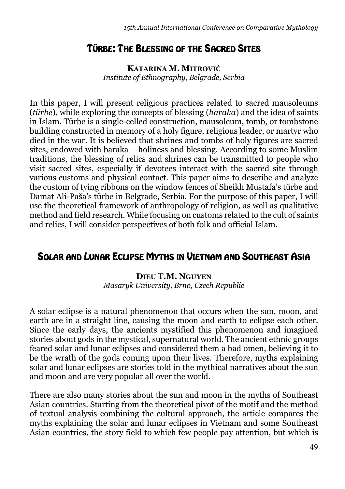### TÜRBE: THE BLESSING OF THE SACRED SITES

**KATARINA M. MITROVIĆ** *Institute of Ethnography, Belgrade, Serbia*

In this paper, I will present religious practices related to sacred mausoleums (*türbe*), while exploring the concepts of blessing (*baraka*) and the idea of saints in Islam. Türbe is a single-celled construction, mausoleum, tomb, or tombstone building constructed in memory of a holy figure, religious leader, or martyr who died in the war. It is believed that shrines and tombs of holy figures are sacred sites, endowed with baraka – holiness and blessing. According to some Muslim traditions, the blessing of relics and shrines can be transmitted to people who visit sacred sites, especially if devotees interact with the sacred site through various customs and physical contact. This paper aims to describe and analyze the custom of tying ribbons on the window fences of Sheikh Mustafa's türbe and Damat Ali-Paša's türbe in Belgrade, Serbia. For the purpose of this paper, I will use the theoretical framework of anthropology of religion, as well as qualitative method and field research. While focusing on customs related to the cult of saints and relics, I will consider perspectives of both folk and official Islam.

## SOLAR AND LUNAR ECLIPSE MYTHS IN VIETNAM AND SOUTHEAST ASIA

**DIEU T.M. NGUYEN** *Masaryk University, Brno, Czech Republic*

A solar eclipse is a natural phenomenon that occurs when the sun, moon, and earth are in a straight line, causing the moon and earth to eclipse each other. Since the early days, the ancients mystified this phenomenon and imagined stories about gods in the mystical, supernatural world. The ancient ethnic groups feared solar and lunar eclipses and considered them a bad omen, believing it to be the wrath of the gods coming upon their lives. Therefore, myths explaining solar and lunar eclipses are stories told in the mythical narratives about the sun and moon and are very popular all over the world.

There are also many stories about the sun and moon in the myths of Southeast Asian countries. Starting from the theoretical pivot of the motif and the method of textual analysis combining the cultural approach, the article compares the myths explaining the solar and lunar eclipses in Vietnam and some Southeast Asian countries, the story field to which few people pay attention, but which is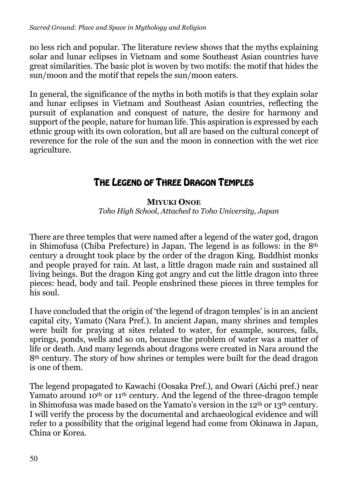no less rich and popular. The literature review shows that the myths explaining solar and lunar eclipses in Vietnam and some Southeast Asian countries have great similarities. The basic plot is woven by two motifs: the motif that hides the sun/moon and the motif that repels the sun/moon eaters.

In general, the significance of the myths in both motifs is that they explain solar and lunar eclipses in Vietnam and Southeast Asian countries, reflecting the pursuit of explanation and conquest of nature, the desire for harmony and support of the people, nature for human life. This aspiration is expressed by each ethnic group with its own coloration, but all are based on the cultural concept of reverence for the role of the sun and the moon in connection with the wet rice agriculture.

## THE LEGEND OF THREE DRAGON TEMPLES

### **MIYUKI ONOE**

*Toho High School, Attached to Toho University, Japan*

There are three temples that were named after a legend of the water god, dragon in Shimofusa (Chiba Prefecture) in Japan. The legend is as follows: in the 8th century a drought took place by the order of the dragon King. Buddhist monks and people prayed for rain. At last, a little dragon made rain and sustained all living beings. But the dragon King got angry and cut the little dragon into three pieces: head, body and tail. People enshrined these pieces in three temples for his soul.

I have concluded that the origin of 'the legend of dragon temples' is in an ancient capital city, Yamato (Nara Pref.). In ancient Japan, many shrines and temples were built for praying at sites related to water, for example, sources, falls, springs, ponds, wells and so on, because the problem of water was a matter of life or death. And many legends about dragons were created in Nara around the 8th century. The story of how shrines or temples were built for the dead dragon is one of them.

The legend propagated to Kawachi (Oosaka Pref.), and Owari (Aichi pref.) near Yamato around 10<sup>th</sup> or 11<sup>th</sup> century. And the legend of the three-dragon temple in Shimofusa was made based on the Yamato's version in the 12th or 13th century. I will verify the process by the documental and archaeological evidence and will refer to a possibility that the original legend had come from Okinawa in Japan, China or Korea.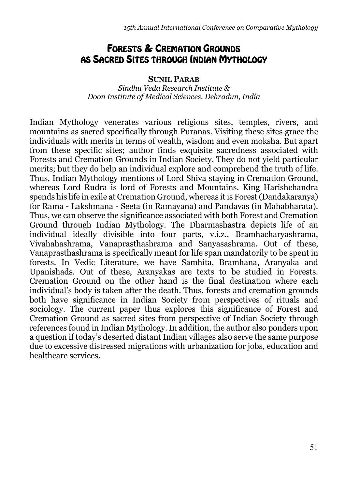## FORESTS & CREMATION GROUNDS AS SACRED SITES THROUGH INDIAN MYTHOLOGY

#### **SUNIL PARAB**

*Sindhu Veda Research Institute & Doon Institute of Medical Sciences, Dehradun, India*

Indian Mythology venerates various religious sites, temples, rivers, and mountains as sacred specifically through Puranas. Visiting these sites grace the individuals with merits in terms of wealth, wisdom and even moksha. But apart from these specific sites; author finds exquisite sacredness associated with Forests and Cremation Grounds in Indian Society. They do not yield particular merits; but they do help an individual explore and comprehend the truth of life. Thus, Indian Mythology mentions of Lord Shiva staying in Cremation Ground, whereas Lord Rudra is lord of Forests and Mountains. King Harishchandra spends his life in exile at Cremation Ground, whereas it is Forest (Dandakaranya) for Rama - Lakshmana - Seeta (in Ramayana) and Pandavas (in Mahabharata). Thus, we can observe the significance associated with both Forest and Cremation Ground through Indian Mythology. The Dharmashastra depicts life of an individual ideally divisible into four parts, v.i.z., Bramhacharyashrama, Vivahahashrama, Vanaprasthashrama and Sanyasashrama. Out of these, Vanaprasthashrama is specifically meant for life span mandatorily to be spent in forests. In Vedic Literature, we have Samhita, Bramhana, Aranyaka and Upanishads. Out of these, Aranyakas are texts to be studied in Forests. Cremation Ground on the other hand is the final destination where each individual's body is taken after the death. Thus, forests and cremation grounds both have significance in Indian Society from perspectives of rituals and sociology. The current paper thus explores this significance of Forest and Cremation Ground as sacred sites from perspective of Indian Society through references found in Indian Mythology. In addition, the author also ponders upon a question if today's deserted distant Indian villages also serve the same purpose due to excessive distressed migrations with urbanization for jobs, education and healthcare services.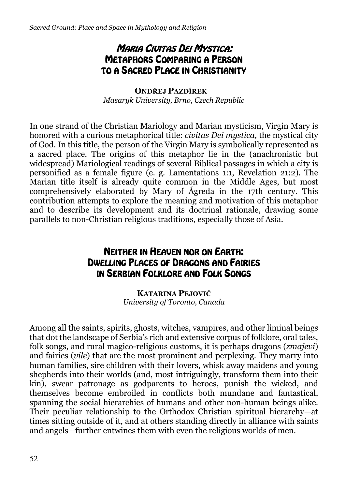## MARIA CIVITAS DEI MYSTICA: METAPHORS COMPARING A PERSON TO A SACRED PLACE IN CHRISTIANITY

**ONDŘEJ PAZDÍREK**  *Masaryk University, Brno, Czech Republic* 

In one strand of the Christian Mariology and Marian mysticism, Virgin Mary is honored with a curious metaphorical title: *civitas Dei mystica,* the mystical city of God. In this title, the person of the Virgin Mary is symbolically represented as a sacred place. The origins of this metaphor lie in the (anachronistic but widespread) Mariological readings of several Biblical passages in which a city is personified as a female figure (e. g. Lamentations 1:1, Revelation 21:2). The Marian title itself is already quite common in the Middle Ages, but most comprehensively elaborated by Mary of Ágreda in the 17th century. This contribution attempts to explore the meaning and motivation of this metaphor and to describe its development and its doctrinal rationale, drawing some parallels to non-Christian religious traditions, especially those of Asia.

## NEITHER IN HEAVEN NOR ON EARTH: DWELLING PLACES OF DRAGONS AND FAIRIES IN SERBIAN FOLKLORE AND FOLK SONGS

**KATARINA PEJOVIĆ** *University of Toronto, Canada*

Among all the saints, spirits, ghosts, witches, vampires, and other liminal beings that dot the landscape of Serbia's rich and extensive corpus of folklore, oral tales, folk songs, and rural magico-religious customs, it is perhaps dragons (*zmajevi*) and fairies (*vile*) that are the most prominent and perplexing. They marry into human families, sire children with their lovers, whisk away maidens and young shepherds into their worlds (and, most intriguingly, transform them into their kin), swear patronage as godparents to heroes, punish the wicked, and themselves become embroiled in conflicts both mundane and fantastical, spanning the social hierarchies of humans and other non-human beings alike. Their peculiar relationship to the Orthodox Christian spiritual hierarchy—at times sitting outside of it, and at others standing directly in alliance with saints and angels—further entwines them with even the religious worlds of men.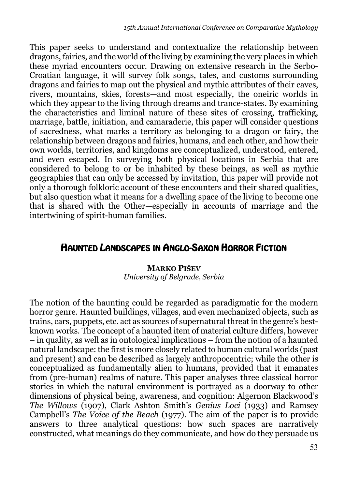This paper seeks to understand and contextualize the relationship between dragons, fairies, and the world of the living by examining the very places in which these myriad encounters occur. Drawing on extensive research in the Serbo-Croatian language, it will survey folk songs, tales, and customs surrounding dragons and fairies to map out the physical and mythic attributes of their caves, rivers, mountains, skies, forests—and most especially, the oneiric worlds in which they appear to the living through dreams and trance-states. By examining the characteristics and liminal nature of these sites of crossing, trafficking, marriage, battle, initiation, and camaraderie, this paper will consider questions of sacredness, what marks a territory as belonging to a dragon or fairy, the relationship between dragons and fairies, humans, and each other, and how their own worlds, territories, and kingdoms are conceptualized, understood, entered, and even escaped. In surveying both physical locations in Serbia that are considered to belong to or be inhabited by these beings, as well as mythic geographies that can only be accessed by invitation, this paper will provide not only a thorough folkloric account of these encounters and their shared qualities, but also question what it means for a dwelling space of the living to become one that is shared with the Other—especially in accounts of marriage and the intertwining of spirit-human families.

### HAUNTED LANDSCAPES IN ANGLO-SAXON HORROR FICTION

#### **MARKO PIŠEV** *University of Belgrade, Serbia*

The notion of the haunting could be regarded as paradigmatic for the modern horror genre. Haunted buildings, villages, and even mechanized objects, such as trains, cars, puppets, etc. act as sources of supernatural threat in the genre's bestknown works. The concept of a haunted item of material culture differs, however – in quality, as well as in ontological implications – from the notion of a haunted natural landscape: the first is more closely related to human cultural worlds (past and present) and can be described as largely anthropocentric; while the other is conceptualized as fundamentally alien to humans, provided that it emanates from (pre-human) realms of nature. This paper analyses three classical horror stories in which the natural environment is portrayed as a doorway to other dimensions of physical being, awareness, and cognition: Algernon Blackwood's *The Willows* (1907), Clark Ashton Smith's *Genius Loci* (1933) and Ramsey Campbell's *The Voice of the Beach* (1977). The aim of the paper is to provide answers to three analytical questions: how such spaces are narratively constructed, what meanings do they communicate, and how do they persuade us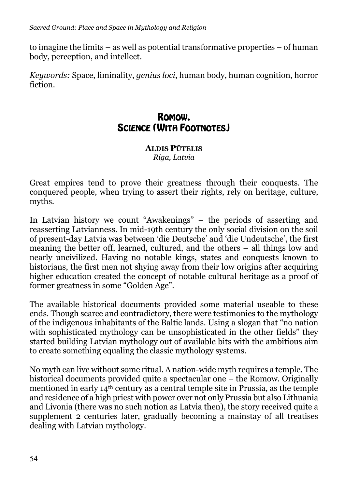to imagine the limits – as well as potential transformative properties – of human body, perception, and intellect.

*Keywords:* Space, liminality, *genius loci*, human body, human cognition, horror fiction.

## ROMOW. SCIENCE (WITH FOOTNOTES)

**ALDIS PŪTELIS** *Riga, Latvia*

Great empires tend to prove their greatness through their conquests. The conquered people, when trying to assert their rights, rely on heritage, culture, myths.

In Latvian history we count "Awakenings" – the periods of asserting and reasserting Latvianness. In mid-19th century the only social division on the soil of present-day Latvia was between 'die Deutsche' and 'die Undeutsche', the first meaning the better off, learned, cultured, and the others – all things low and nearly uncivilized. Having no notable kings, states and conquests known to historians, the first men not shying away from their low origins after acquiring higher education created the concept of notable cultural heritage as a proof of former greatness in some "Golden Age".

The available historical documents provided some material useable to these ends. Though scarce and contradictory, there were testimonies to the mythology of the indigenous inhabitants of the Baltic lands. Using a slogan that "no nation with sophisticated mythology can be unsophisticated in the other fields" they started building Latvian mythology out of available bits with the ambitious aim to create something equaling the classic mythology systems.

No myth can live without some ritual. A nation-wide myth requires a temple. The historical documents provided quite a spectacular one – the Romow. Originally mentioned in early 14th century as a central temple site in Prussia, as the temple and residence of a high priest with power over not only Prussia but also Lithuania and Livonia (there was no such notion as Latvia then), the story received quite a supplement 2 centuries later, gradually becoming a mainstay of all treatises dealing with Latvian mythology.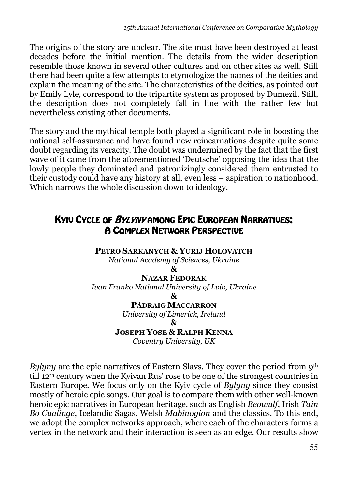The origins of the story are unclear. The site must have been destroyed at least decades before the initial mention. The details from the wider description resemble those known in several other cultures and on other sites as well. Still there had been quite a few attempts to etymologize the names of the deities and explain the meaning of the site. The characteristics of the deities, as pointed out by Emily Lyle, correspond to the tripartite system as proposed by Dumezil. Still, the description does not completely fall in line with the rather few but nevertheless existing other documents.

The story and the mythical temple both played a significant role in boosting the national self-assurance and have found new reincarnations despite quite some doubt regarding its veracity. The doubt was undermined by the fact that the first wave of it came from the aforementioned 'Deutsche' opposing the idea that the lowly people they dominated and patronizingly considered them entrusted to their custody could have any history at all, even less – aspiration to nationhood. Which narrows the whole discussion down to ideology.

## KYIV CYCLE OF BYLYNY AMONG EPIC EUROPEAN NARRATIVES: A COMPLEX NETWORK PERSPECTIVE

**PETRO SARKANYCH & YURIJ HOLOVATCH** 

*National Academy of Sciences, Ukraine*

**&**

**NAZAR FEDORAK**  *Ivan Franko National University of Lviv, Ukraine* **&**

**PÁDRAIG MACCARRON** 

*University of Limerick, Ireland*

**&**

**JOSEPH YOSE & RALPH KENNA**

*Coventry University, UK*

*Bylyny* are the epic narratives of Eastern Slavs. They cover the period from 9<sup>th</sup> till 12th century when the Kyivan Rus' rose to be one of the strongest countries in Eastern Europe. We focus only on the Kyiv cycle of *Bylyny* since they consist mostly of heroic epic songs. Our goal is to compare them with other well-known heroic epic narratives in European heritage, such as English *Beowulf*, Irish *Tain Bo Cualinge*, Icelandic Sagas, Welsh *Mabinogion* and the classics. To this end, we adopt the complex networks approach, where each of the characters forms a vertex in the network and their interaction is seen as an edge. Our results show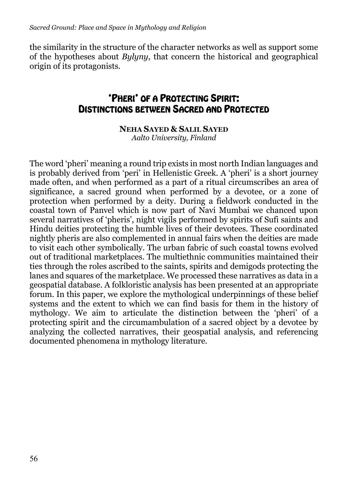the similarity in the structure of the character networks as well as support some of the hypotheses about *Bylyny*, that concern the historical and geographical origin of its protagonists.

## 'PHERI' OF A PROTECTING SPIRIT: DISTINCTIONS BETWEEN SACRED AND PROTECTED

## **NEHA SAYED & SALIL SAYED**

*Aalto University, Finland*

The word 'pheri' meaning a round trip exists in most north Indian languages and is probably derived from 'peri' in Hellenistic Greek. A 'pheri' is a short journey made often, and when performed as a part of a ritual circumscribes an area of significance, a sacred ground when performed by a devotee, or a zone of protection when performed by a deity. During a fieldwork conducted in the coastal town of Panvel which is now part of Navi Mumbai we chanced upon several narratives of 'pheris', night vigils performed by spirits of Sufi saints and Hindu deities protecting the humble lives of their devotees. These coordinated nightly pheris are also complemented in annual fairs when the deities are made to visit each other symbolically. The urban fabric of such coastal towns evolved out of traditional marketplaces. The multiethnic communities maintained their ties through the roles ascribed to the saints, spirits and demigods protecting the lanes and squares of the marketplace. We processed these narratives as data in a geospatial database. A folkloristic analysis has been presented at an appropriate forum. In this paper, we explore the mythological underpinnings of these belief systems and the extent to which we can find basis for them in the history of mythology. We aim to articulate the distinction between the 'pheri' of a protecting spirit and the circumambulation of a sacred object by a devotee by analyzing the collected narratives, their geospatial analysis, and referencing documented phenomena in mythology literature.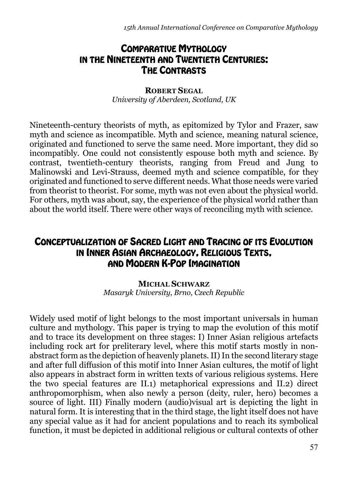## COMPARATIVE MYTHOLOGY IN THE NINETEENTH AND TWENTIETH CENTURIES: THE CONTRASTS

**ROBERT SEGAL** *University of Aberdeen, Scotland, UK*

Nineteenth-century theorists of myth, as epitomized by Tylor and Frazer, saw myth and science as incompatible. Myth and science, meaning natural science, originated and functioned to serve the same need. More important, they did so incompatibly. One could not consistently espouse both myth and science. By contrast, twentieth-century theorists, ranging from Freud and Jung to Malinowski and Levi-Strauss, deemed myth and science compatible, for they originated and functioned to serve different needs. What those needs were varied from theorist to theorist. For some, myth was not even about the physical world. For others, myth was about, say, the experience of the physical world rather than about the world itself. There were other ways of reconciling myth with science.

## CONCEPTUALIZATION OF SACRED LIGHT AND TRACING OF ITS EVOLUTION IN INNER ASIAN ARCHAEOLOGY, RELIGIOUS TEXTS, AND MODERN K-POP IMAGINATION

#### **MICHAL SCHWARZ** *Masaryk University, Brno, Czech Republic*

Widely used motif of light belongs to the most important universals in human culture and mythology. This paper is trying to map the evolution of this motif and to trace its development on three stages: I) Inner Asian religious artefacts including rock art for preliterary level, where this motif starts mostly in nonabstract form as the depiction of heavenly planets. II) In the second literary stage and after full diffusion of this motif into Inner Asian cultures, the motif of light also appears in abstract form in written texts of various religious systems. Here the two special features are II.1) metaphorical expressions and II.2) direct anthropomorphism, when also newly a person (deity, ruler, hero) becomes a source of light. III) Finally modern (audio)visual art is depicting the light in natural form. It is interesting that in the third stage, the light itself does not have any special value as it had for ancient populations and to reach its symbolical function, it must be depicted in additional religious or cultural contexts of other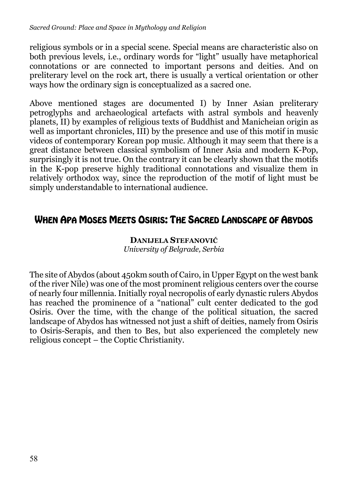religious symbols or in a special scene. Special means are characteristic also on both previous levels, i.e., ordinary words for "light" usually have metaphorical connotations or are connected to important persons and deities. And on preliterary level on the rock art, there is usually a vertical orientation or other ways how the ordinary sign is conceptualized as a sacred one.

Above mentioned stages are documented I) by Inner Asian preliterary petroglyphs and archaeological artefacts with astral symbols and heavenly planets, II) by examples of religious texts of Buddhist and Manicheian origin as well as important chronicles, III) by the presence and use of this motif in music videos of contemporary Korean pop music. Although it may seem that there is a great distance between classical symbolism of Inner Asia and modern K-Pop, surprisingly it is not true. On the contrary it can be clearly shown that the motifs in the K-pop preserve highly traditional connotations and visualize them in relatively orthodox way, since the reproduction of the motif of light must be simply understandable to international audience.

## WHEN APA MOSES MEETS OSIRIS: THE SACRED LANDSCAPE OF ABYDOS

### **DANIJELA STEFANOVIĆ** *University of Belgrade, Serbia*

The site of Abydos (about 450km south of Cairo, in Upper Egypt on the west bank of the river Nile) was one of the most prominent religious centers over the course of nearly four millennia. Initially royal necropolis of early dynastic rulers Abydos has reached the prominence of a "national" cult center dedicated to the god Osiris. Over the time, with the change of the political situation, the sacred landscape of Abydos has witnessed not just a shift of deities, namely from Osiris to Osiris-Serapis, and then to Bes, but also experienced the completely new religious concept – the Coptic Christianity.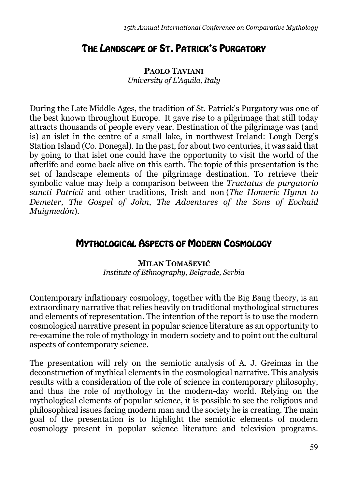## THE LANDSCAPE OF ST. PATRICK'S PURGATORY

**PAOLO TAVIANI** *University of L'Aquila, Italy*

During the Late Middle Ages, the tradition of St. Patrick's Purgatory was one of the best known throughout Europe. It gave rise to a pilgrimage that still today attracts thousands of people every year. Destination of the pilgrimage was (and is) an islet in the centre of a small lake, in northwest Ireland: Lough Derg's Station Island (Co. Donegal). In the past, for about two centuries, it was said that by going to that islet one could have the opportunity to visit the world of the afterlife and come back alive on this earth. The topic of this presentation is the set of landscape elements of the pilgrimage destination. To retrieve their symbolic value may help a comparison between the *Tractatus de purgatorio sancti Patricii* and other traditions, Irish and non (*The Homeric Hymn to Demeter, The Gospel of John*, *The Adventures of the Sons of Eochaid Muigmedón*).

## MYTHOLOGICAL ASPECTS OF MODERN COSMOLOGY

### **MILAN TOMAŠEVIĆ** *Institute of Ethnography, Belgrade, Serbia*

Contemporary inflationary cosmology, together with the Big Bang theory, is an extraordinary narrative that relies heavily on traditional mythological structures and elements of representation. The intention of the report is to use the modern cosmological narrative present in popular science literature as an opportunity to re-examine the role of mythology in modern society and to point out the cultural aspects of contemporary science.

The presentation will rely on the semiotic analysis of A. J. Greimas in the deconstruction of mythical elements in the cosmological narrative. This analysis results with a consideration of the role of science in contemporary philosophy, and thus the role of mythology in the modern-day world. Relying on the mythological elements of popular science, it is possible to see the religious and philosophical issues facing modern man and the society he is creating. The main goal of the presentation is to highlight the semiotic elements of modern cosmology present in popular science literature and television programs.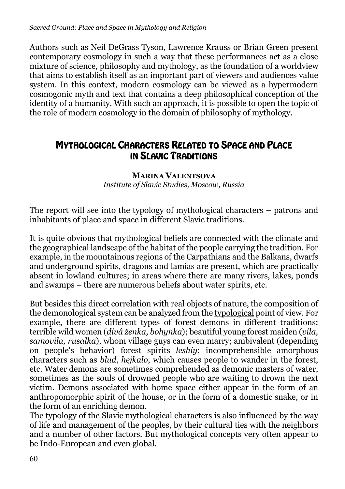Authors such as Neil DeGrass Tyson, Lawrence Krauss or Brian Green present contemporary cosmology in such a way that these performances act as a close mixture of science, philosophy and mythology, as the foundation of a worldview that aims to establish itself as an important part of viewers and audiences value system. In this context, modern cosmology can be viewed as a hypermodern cosmogonic myth and text that contains a deep philosophical conception of the identity of a humanity. With such an approach, it is possible to open the topic of the role of modern cosmology in the domain of philosophy of mythology.

## MYTHOLOGICAL CHARACTERS RELATED TO SPACE AND PLACE IN SLAVIC TRADITIONS

### **MARINA VALENTSOVA** *Institute of Slavic Studies, Moscow, Russia*

The report will see into the typology of mythological characters – patrons and inhabitants of place and space in different Slavic traditions.

It is quite obvious that mythological beliefs are connected with the climate and the geographical landscape of the habitat of the people carrying the tradition. For example, in the mountainous regions of the Carpathians and the Balkans, dwarfs and underground spirits, dragons and lamias are present, which are practically absent in lowland cultures; in areas where there are many rivers, lakes, ponds and swamps – there are numerous beliefs about water spirits, etc.

But besides this direct correlation with real objects of nature, the composition of the demonological system can be analyzed from the typological point of view. For example, there are different types of forest demons in different traditions: terrible wild women (*divá ženka, bohynka*); beautiful young forest maiden (*vila, samovila, rusalka*), whom village guys can even marry; ambivalent (depending on people's behavior) forest spirits *leshiy*; incomprehensible amorphous characters such as *blud*, *hejkalo*, which causes people to wander in the forest, etc. Water demons are sometimes comprehended as demonic masters of water, sometimes as the souls of drowned people who are waiting to drown the next victim. Demons associated with home space either appear in the form of an anthropomorphic spirit of the house, or in the form of a domestic snake, or in the form of an enriching demon.

The typology of the Slavic mythological characters is also influenced by the way of life and management of the peoples, by their cultural ties with the neighbors and a number of other factors. But mythological concepts very often appear to be Indo-European and even global.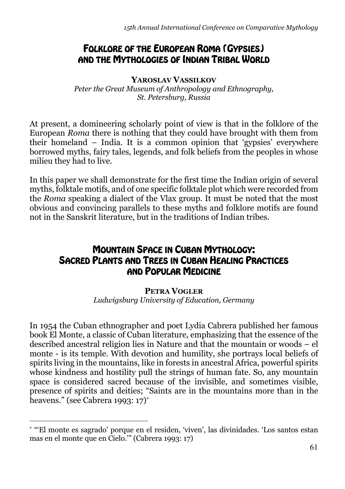## FOLKLORE OF THE EUROPEAN ROMA (GYPSIES) AND THE MYTHOLOGIES OF INDIAN TRIBAL WORLD

**YAROSLAV VASSILKOV** *Peter the Great Museum of Anthropology and Ethnography, St. Petersburg, Russia*

At present, a domineering scholarly point of view is that in the folklore of the European *Roma* there is nothing that they could have brought with them from their homeland – India. It is a common opinion that 'gypsies' everywhere borrowed myths, fairy tales, legends, and folk beliefs from the peoples in whose milieu they had to live.

In this paper we shall demonstrate for the first time the Indian origin of several myths, folktale motifs, and of one specific folktale plot which were recorded from the *Roma* speaking a dialect of the Vlax group. It must be noted that the most obvious and convincing parallels to these myths and folklore motifs are found not in the Sanskrit literature, but in the traditions of Indian tribes.

## MOUNTAIN SPACE IN CUBAN MYTHOLOGY: SACRED PLANTS AND TREES IN CUBAN HEALING PRACTICES AND POPULAR MEDICINE

### **PETRA VOGLER**

*Ludwigsburg University of Education, Germany*

In 1954 the Cuban ethnographer and poet Lydia Cabrera published her famous book El Monte, a classic of Cuban literature, emphasizing that the essence of the described ancestral religion lies in Nature and that the mountain or woods – el monte - is its temple. With devotion and humility, she portrays local beliefs of spirits living in the mountains, like in forests in ancestral Africa, powerful spirits whose kindness and hostility pull the strings of human fate. So, any mountain space is considered sacred because of the invisible, and sometimes visible, presence of spirits and deities; "Saints are in the mountains more than in the heavens." (see Cabrera 1993: 17)\*

<sup>\*</sup> "'El monte es sagrado' porque en el residen, 'viven', las divinidades. 'Los santos estan mas en el monte que en Cielo.'" (Cabrera 1993: 17)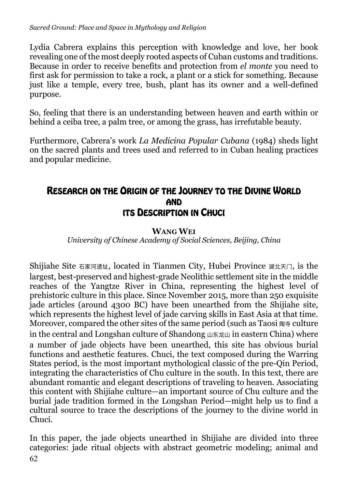Lydia Cabrera explains this perception with knowledge and love, her book revealing one of the most deeply rooted aspects of Cuban customs and traditions. Because in order to receive benefits and protection from *el monte* you need to first ask for permission to take a rock, a plant or a stick for something. Because just like a temple, every tree, bush, plant has its owner and a well-defined purpose.

So, feeling that there is an understanding between heaven and earth within or behind a ceiba tree, a palm tree, or among the grass, has irrefutable beauty.

Furthermore, Cabrera's work *La Medicina Popular Cubana* (1984) sheds light on the sacred plants and trees used and referred to in Cuban healing practices and popular medicine.

## RESEARCH ON THE ORIGIN OF THE JOURNEY TO THE DIVINE WORLD AND ITS DESCRIPTION IN CHUCI

### **WANG WEI**

*University of Chinese Academy of Social Sciences, Beijing, China*

Shijiahe Site 石家河遗址, located in Tianmen City, Hubei Province 湖北天门, is the largest, best-preserved and highest-grade Neolithic settlement site in the middle reaches of the Yangtze River in China, representing the highest level of prehistoric culture in this place. Since November 2015, more than 250 exquisite jade articles (around 4300 BC) have been unearthed from the Shijiahe site, which represents the highest level of jade carving skills in East Asia at that time. Moreover, compared the other sites of the same period (such as Taosi 陶寺 culture in the central and Longshan culture of Shandong 山东龙山 in eastern China) where a number of jade objects have been unearthed, this site has obvious burial functions and aesthetic features. Chuci, the text composed during the Warring States period, is the most important mythological classic of the pre-Qin Period, integrating the characteristics of Chu culture in the south. In this text, there are abundant romantic and elegant descriptions of traveling to heaven. Associating this content with Shijiahe culture—an important source of Chu culture and the burial jade tradition formed in the Longshan Period—might help us to find a cultural source to trace the descriptions of the journey to the divine world in Chuci.

62 In this paper, the jade objects unearthed in Shijiahe are divided into three categories: jade ritual objects with abstract geometric modeling; animal and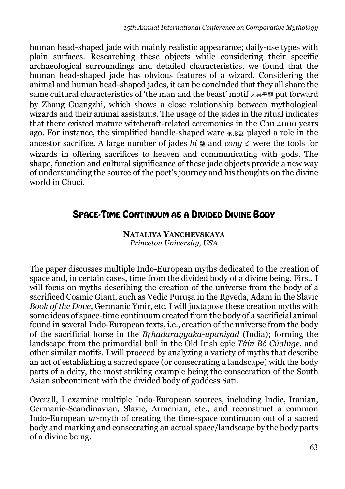human head-shaped jade with mainly realistic appearance; daily-use types with plain surfaces. Researching these objects while considering their specific archaeological surroundings and detailed characteristics, we found that the human head-shaped jade has obvious features of a wizard. Considering the animal and human head-shaped jades, it can be concluded that they all share the same cultural characteristics of 'the man and the beast' motif  $\lambda \triangleq \mathbb{B}$  put forward by Zhang Guangzhi, which shows a close relationship between mythological wizards and their animal assistants. The usage of the jades in the ritual indicates that there existed mature witchcraft-related ceremonies in the Chu 4000 years ago. For instance, the simplified handle-shaped ware 柄形器 played a role in the ancestor sacrifice. A large number of jades *bi* <sup>璧</sup> and *cong* <sup>琮</sup> were the tools for wizards in offering sacrifices to heaven and communicating with gods. The shape, function and cultural significance of these jade objects provide a new way of understanding the source of the poet's journey and his thoughts on the divine world in Chuci.

## SPACE-TIME CONTINUUM AS A DIVIDED DIVINE BODY

**NATALIYA YANCHEVSKAYA**  *Princeton University, USA*

The paper discusses multiple Indo-European myths dedicated to the creation of space and, in certain cases, time from the divided body of a divine being. First, I will focus on myths describing the creation of the universe from the body of a sacrificed Cosmic Giant, such as Vedic Purusa in the Rgveda, Adam in the Slavic *Book of the Dove*, Germanic Ymir, etc. I will juxtapose these creation myths with some ideas of space-time continuum created from the body of a sacrificial animal found in several Indo-European texts, i.e., creation of the universe from the body of the sacrificial horse in the *Bṛhadaraṇyaka-upaniṣad* (India); forming the landscape from the primordial bull in the Old Irish epic *Táin Bó Cúalnge,* and other similar motifs. I will proceed by analyzing a variety of myths that describe an act of establishing a sacred space (or consecrating a landscape) with the body parts of a deity, the most striking example being the consecration of the South Asian subcontinent with the divided body of goddess Satī.

Overall, I examine multiple Indo-European sources, including Indic, Iranian, Germanic-Scandinavian, Slavic, Armenian, etc., and reconstruct a common Indo-European *ur*-myth of creating the time-space continuum out of a sacred body and marking and consecrating an actual space/landscape by the body parts of a divine being.